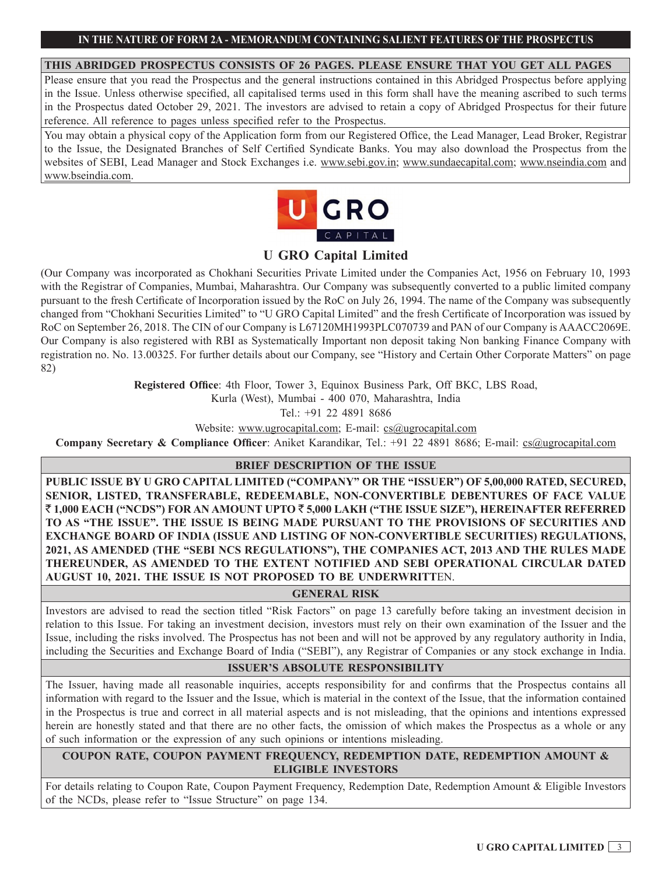### **THIS ABRIDGED PROSPECTUS CONSISTS OF 26 PAGES. PLEASE ENSURE THAT YOU GET ALL PAGES**

Please ensure that you read the Prospectus and the general instructions contained in this Abridged Prospectus before applying in the Issue. Unless otherwise specified, all capitalised terms used in this form shall have the meaning ascribed to such terms in the Prospectus dated October 29, 2021. The investors are advised to retain a copy of Abridged Prospectus for their future reference. All reference to pages unless specified refer to the Prospectus.

You may obtain a physical copy of the Application form from our Registered Office, the Lead Manager, Lead Broker, Registrar to the Issue, the Designated Branches of Self Certified Syndicate Banks. You may also download the Prospectus from the websites of SEBI, Lead Manager and Stock Exchanges i.e. www.sebi.gov.in; www.sundaecapital.com; www.nseindia.com and www.bseindia.com.



# **U GRO Capital Limited**

(Our Company was incorporated as Chokhani Securities Private Limited under the Companies Act, 1956 on February 10, 1993 with the Registrar of Companies, Mumbai, Maharashtra. Our Company was subsequently converted to a public limited company pursuant to the fresh Certificate of Incorporation issued by the RoC on July 26, 1994. The name of the Company was subsequently changed from "Chokhani Securities Limited" to "U GRO Capital Limited" and the fresh Certificate of Incorporation was issued by RoC on September 26, 2018. The CIN of our Company is L67120MH1993PLC070739 and PAN of our Company is AAACC2069E. Our Company is also registered with RBI as Systematically Important non deposit taking Non banking Finance Company with registration no. No. 13.00325. For further details about our Company, see "History and Certain Other Corporate Matters" on page 82)

**Registered Office**: 4th Floor, Tower 3, Equinox Business Park, Off BKC, LBS Road,

Kurla (West), Mumbai - 400 070, Maharashtra, India

Tel.: +91 22 4891 8686

Website: www.ugrocapital.com; E-mail: cs@ugrocapital.com

**Company Secretary & Compliance Officer**: Aniket Karandikar, Tel.: +91 22 4891 8686; E-mail: cs@ugrocapital.com

## **BRIEF DESCRIPTION OF THE ISSUE**

**PUBLIC ISSUE BY U GRO CAPITAL LIMITED ("COMPANY" OR THE "ISSUER") OF 5,00,000 RATED, SECURED, SENIOR, LISTED, TRANSFERABLE, REDEEMABLE, NON-CONVERTIBLE DEBENTURES OF FACE VALUE**  ` **1,000 EACH ("NCDS") FOR AN AMOUNT UPTO** ` **5,000 LAKH ("THE ISSUE SIZE"), HEREINAFTER REFERRED TO AS "THE ISSUE". THE ISSUE IS BEING MADE PURSUANT TO THE PROVISIONS OF SECURITIES AND EXCHANGE BOARD OF INDIA (ISSUE AND LISTING OF NON-CONVERTIBLE SECURITIES) REGULATIONS, 2021, AS AMENDED (THE "SEBI NCS REGULATIONS"), THE COMPANIES ACT, 2013 AND THE RULES MADE THEREUNDER, AS AMENDED TO THE EXTENT NOTIFIED AND SEBI OPERATIONAL CIRCULAR DATED AUGUST 10, 2021. THE ISSUE IS NOT PROPOSED TO BE UNDERWRITT**EN.

## **GENERAL RISK**

Investors are advised to read the section titled "Risk Factors" on page 13 carefully before taking an investment decision in relation to this Issue. For taking an investment decision, investors must rely on their own examination of the Issuer and the Issue, including the risks involved. The Prospectus has not been and will not be approved by any regulatory authority in India, including the Securities and Exchange Board of India ("SEBI"), any Registrar of Companies or any stock exchange in India.

## **ISSUER'S ABSOLUTE RESPONSIBILITY**

The Issuer, having made all reasonable inquiries, accepts responsibility for and confirms that the Prospectus contains all information with regard to the Issuer and the Issue, which is material in the context of the Issue, that the information contained in the Prospectus is true and correct in all material aspects and is not misleading, that the opinions and intentions expressed herein are honestly stated and that there are no other facts, the omission of which makes the Prospectus as a whole or any of such information or the expression of any such opinions or intentions misleading.

## **COUPON RATE, COUPON PAYMENT FREQUENCY, REDEMPTION DATE, REDEMPTION AMOUNT & ELIGIBLE INVESTORS**

For details relating to Coupon Rate, Coupon Payment Frequency, Redemption Date, Redemption Amount & Eligible Investors of the NCDs, please refer to "Issue Structure" on page 134.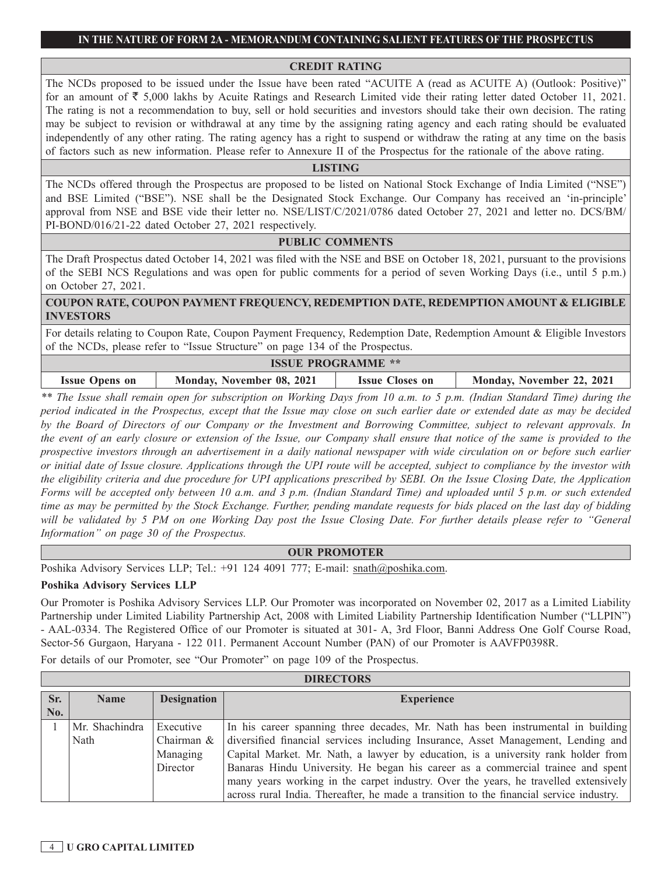#### **CREDIT RATING**

The NCDs proposed to be issued under the Issue have been rated "ACUITE A (read as ACUITE A) (Outlook: Positive)" for an amount of  $\overline{\xi}$  5,000 lakhs by Acuite Ratings and Research Limited vide their rating letter dated October 11, 2021. The rating is not a recommendation to buy, sell or hold securities and investors should take their own decision. The rating may be subject to revision or withdrawal at any time by the assigning rating agency and each rating should be evaluated independently of any other rating. The rating agency has a right to suspend or withdraw the rating at any time on the basis of factors such as new information. Please refer to Annexure II of the Prospectus for the rationale of the above rating.

## **LISTING**

The NCDs offered through the Prospectus are proposed to be listed on National Stock Exchange of India Limited ("NSE") and BSE Limited ("BSE"). NSE shall be the Designated Stock Exchange. Our Company has received an 'in-principle' approval from NSE and BSE vide their letter no. NSE/LIST/C/2021/0786 dated October 27, 2021 and letter no. DCS/BM/ PI-BOND/016/21-22 dated October 27, 2021 respectively.

#### **PUBLIC COMMENTS**

The Draft Prospectus dated October 14, 2021 was filed with the NSE and BSE on October 18, 2021, pursuant to the provisions of the SEBI NCS Regulations and was open for public comments for a period of seven Working Days (i.e., until 5 p.m.) on October 27, 2021.

### **COUPON RATE, COUPON PAYMENT FREQUENCY, REDEMPTION DATE, REDEMPTION AMOUNT & ELIGIBLE INVESTORS**

For details relating to Coupon Rate, Coupon Payment Frequency, Redemption Date, Redemption Amount & Eligible Investors of the NCDs, please refer to "Issue Structure" on page 134 of the Prospectus.

| <b>ISSUE PROGRAMME **</b> |                           |                        |                           |
|---------------------------|---------------------------|------------------------|---------------------------|
| <b>Issue Opens on</b>     | Monday, November 08, 2021 | <b>Issue Closes on</b> | Monday, November 22, 2021 |

*\*\* The Issue shall remain open for subscription on Working Days from 10 a.m. to 5 p.m. (Indian Standard Time) during the period indicated in the Prospectus, except that the Issue may close on such earlier date or extended date as may be decided by the Board of Directors of our Company or the Investment and Borrowing Committee, subject to relevant approvals. In the event of an early closure or extension of the Issue, our Company shall ensure that notice of the same is provided to the prospective investors through an advertisement in a daily national newspaper with wide circulation on or before such earlier or initial date of Issue closure. Applications through the UPI route will be accepted, subject to compliance by the investor with the eligibility criteria and due procedure for UPI applications prescribed by SEBI. On the Issue Closing Date, the Application Forms will be accepted only between 10 a.m. and 3 p.m. (Indian Standard Time) and uploaded until 5 p.m. or such extended time as may be permitted by the Stock Exchange. Further, pending mandate requests for bids placed on the last day of bidding*  will be validated by 5 PM on one Working Day post the Issue Closing Date. For further details please refer to "General *Information" on page 30 of the Prospectus.*

## **OUR PROMOTER**

Poshika Advisory Services LLP; Tel.: +91 124 4091 777; E-mail: snath@poshika.com.

### **Poshika Advisory Services LLP**

Our Promoter is Poshika Advisory Services LLP. Our Promoter was incorporated on November 02, 2017 as a Limited Liability Partnership under Limited Liability Partnership Act, 2008 with Limited Liability Partnership Identification Number ("LLPIN") - AAL-0334. The Registered Office of our Promoter is situated at 301- A, 3rd Floor, Banni Address One Golf Course Road, Sector-56 Gurgaon, Haryana - 122 011. Permanent Account Number (PAN) of our Promoter is AAVFP0398R.

For details of our Promoter, see "Our Promoter" on page 109 of the Prospectus.

|     | <b>DIRECTORS</b> |                    |                                                                                         |  |  |
|-----|------------------|--------------------|-----------------------------------------------------------------------------------------|--|--|
| Sr. | <b>Name</b>      | <b>Designation</b> | <b>Experience</b>                                                                       |  |  |
| No. |                  |                    |                                                                                         |  |  |
|     | Mr. Shachindra   | Executive          | In his career spanning three decades, Mr. Nath has been instrumental in building        |  |  |
|     | Nath             | Chairman &         | diversified financial services including Insurance, Asset Management, Lending and       |  |  |
|     |                  | Managing           | Capital Market. Mr. Nath, a lawyer by education, is a university rank holder from       |  |  |
|     |                  | Director           | Banaras Hindu University. He began his career as a commercial trainee and spent         |  |  |
|     |                  |                    | many years working in the carpet industry. Over the years, he travelled extensively     |  |  |
|     |                  |                    | across rural India. Thereafter, he made a transition to the financial service industry. |  |  |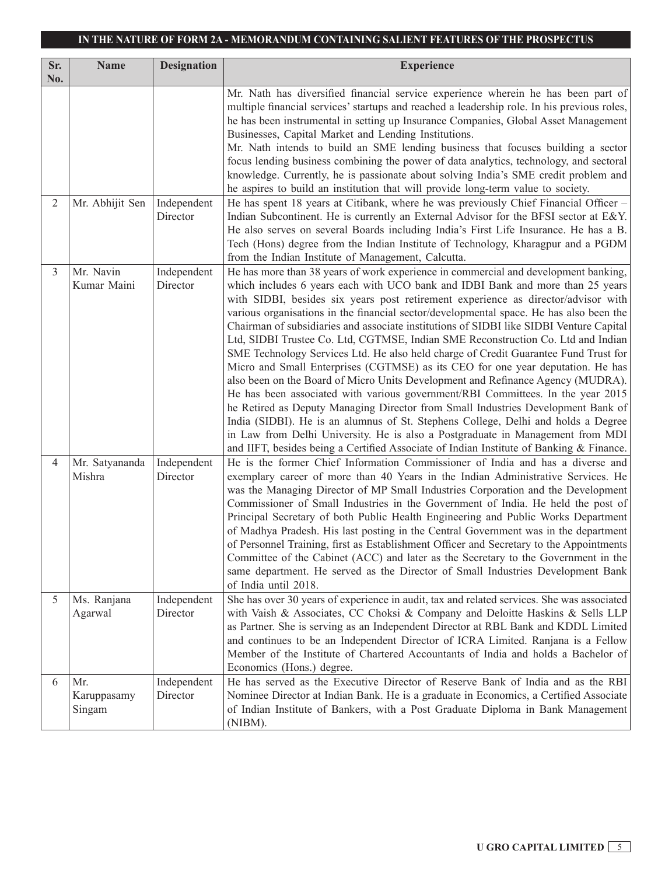| Sr.      | <b>Name</b>                  | <b>Designation</b>      | <b>Experience</b>                                                                                                                                                                                                                                                                                                                                                                                                                                                                                                                                                                                                                                                                                                                                                                                                                                                                                                                                                                                                                                                                                                                                                                                                                          |
|----------|------------------------------|-------------------------|--------------------------------------------------------------------------------------------------------------------------------------------------------------------------------------------------------------------------------------------------------------------------------------------------------------------------------------------------------------------------------------------------------------------------------------------------------------------------------------------------------------------------------------------------------------------------------------------------------------------------------------------------------------------------------------------------------------------------------------------------------------------------------------------------------------------------------------------------------------------------------------------------------------------------------------------------------------------------------------------------------------------------------------------------------------------------------------------------------------------------------------------------------------------------------------------------------------------------------------------|
| No.<br>2 | Mr. Abhijit Sen              | Independent<br>Director | Mr. Nath has diversified financial service experience wherein he has been part of<br>multiple financial services' startups and reached a leadership role. In his previous roles,<br>he has been instrumental in setting up Insurance Companies, Global Asset Management<br>Businesses, Capital Market and Lending Institutions.<br>Mr. Nath intends to build an SME lending business that focuses building a sector<br>focus lending business combining the power of data analytics, technology, and sectoral<br>knowledge. Currently, he is passionate about solving India's SME credit problem and<br>he aspires to build an institution that will provide long-term value to society.<br>He has spent 18 years at Citibank, where he was previously Chief Financial Officer –<br>Indian Subcontinent. He is currently an External Advisor for the BFSI sector at E&Y.<br>He also serves on several Boards including India's First Life Insurance. He has a B.<br>Tech (Hons) degree from the Indian Institute of Technology, Kharagpur and a PGDM<br>from the Indian Institute of Management, Calcutta.                                                                                                                                 |
| 3        | Mr. Navin<br>Kumar Maini     | Independent<br>Director | He has more than 38 years of work experience in commercial and development banking,<br>which includes 6 years each with UCO bank and IDBI Bank and more than 25 years<br>with SIDBI, besides six years post retirement experience as director/advisor with<br>various organisations in the financial sector/developmental space. He has also been the<br>Chairman of subsidiaries and associate institutions of SIDBI like SIDBI Venture Capital<br>Ltd, SIDBI Trustee Co. Ltd, CGTMSE, Indian SME Reconstruction Co. Ltd and Indian<br>SME Technology Services Ltd. He also held charge of Credit Guarantee Fund Trust for<br>Micro and Small Enterprises (CGTMSE) as its CEO for one year deputation. He has<br>also been on the Board of Micro Units Development and Refinance Agency (MUDRA).<br>He has been associated with various government/RBI Committees. In the year 2015<br>he Retired as Deputy Managing Director from Small Industries Development Bank of<br>India (SIDBI). He is an alumnus of St. Stephens College, Delhi and holds a Degree<br>in Law from Delhi University. He is also a Postgraduate in Management from MDI<br>and IIFT, besides being a Certified Associate of Indian Institute of Banking & Finance. |
| 4        | Mr. Satyananda<br>Mishra     | Independent<br>Director | He is the former Chief Information Commissioner of India and has a diverse and<br>exemplary career of more than 40 Years in the Indian Administrative Services. He<br>was the Managing Director of MP Small Industries Corporation and the Development<br>Commissioner of Small Industries in the Government of India. He held the post of<br>Principal Secretary of both Public Health Engineering and Public Works Department<br>of Madhya Pradesh. His last posting in the Central Government was in the department<br>of Personnel Training, first as Establishment Officer and Secretary to the Appointments<br>Committee of the Cabinet (ACC) and later as the Secretary to the Government in the<br>same department. He served as the Director of Small Industries Development Bank<br>of India until 2018.                                                                                                                                                                                                                                                                                                                                                                                                                         |
| 5        | Ms. Ranjana<br>Agarwal       | Independent<br>Director | She has over 30 years of experience in audit, tax and related services. She was associated<br>with Vaish & Associates, CC Choksi & Company and Deloitte Haskins & Sells LLP<br>as Partner. She is serving as an Independent Director at RBL Bank and KDDL Limited<br>and continues to be an Independent Director of ICRA Limited. Ranjana is a Fellow<br>Member of the Institute of Chartered Accountants of India and holds a Bachelor of<br>Economics (Hons.) degree.                                                                                                                                                                                                                                                                                                                                                                                                                                                                                                                                                                                                                                                                                                                                                                    |
| 6        | Mr.<br>Karuppasamy<br>Singam | Independent<br>Director | He has served as the Executive Director of Reserve Bank of India and as the RBI<br>Nominee Director at Indian Bank. He is a graduate in Economics, a Certified Associate<br>of Indian Institute of Bankers, with a Post Graduate Diploma in Bank Management<br>(NIBM).                                                                                                                                                                                                                                                                                                                                                                                                                                                                                                                                                                                                                                                                                                                                                                                                                                                                                                                                                                     |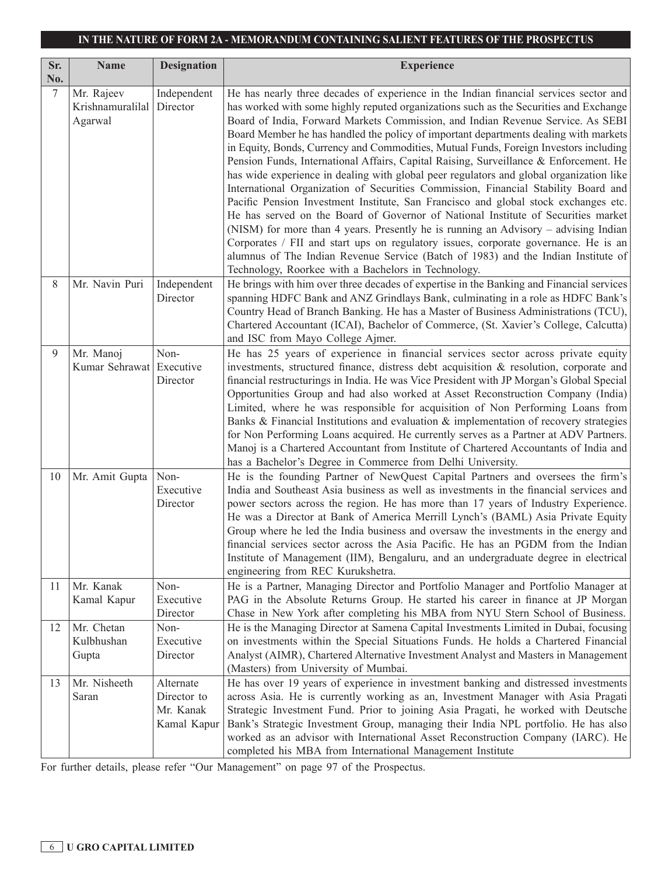| Sr.<br>No. | <b>Name</b>                               | <b>Designation</b>                                   | <b>Experience</b>                                                                                                                                                                                                                                                                                                                                                                                                                                                                                                                                                                                                                                                                                                                                                                                                                                                                                                                                                                                                                                                                                                                                                                                                                  |
|------------|-------------------------------------------|------------------------------------------------------|------------------------------------------------------------------------------------------------------------------------------------------------------------------------------------------------------------------------------------------------------------------------------------------------------------------------------------------------------------------------------------------------------------------------------------------------------------------------------------------------------------------------------------------------------------------------------------------------------------------------------------------------------------------------------------------------------------------------------------------------------------------------------------------------------------------------------------------------------------------------------------------------------------------------------------------------------------------------------------------------------------------------------------------------------------------------------------------------------------------------------------------------------------------------------------------------------------------------------------|
| 7          | Mr. Rajeev<br>Krishnamuralilal<br>Agarwal | Independent<br>Director                              | He has nearly three decades of experience in the Indian financial services sector and<br>has worked with some highly reputed organizations such as the Securities and Exchange<br>Board of India, Forward Markets Commission, and Indian Revenue Service. As SEBI<br>Board Member he has handled the policy of important departments dealing with markets<br>in Equity, Bonds, Currency and Commodities, Mutual Funds, Foreign Investors including<br>Pension Funds, International Affairs, Capital Raising, Surveillance & Enforcement. He<br>has wide experience in dealing with global peer regulators and global organization like<br>International Organization of Securities Commission, Financial Stability Board and<br>Pacific Pension Investment Institute, San Francisco and global stock exchanges etc.<br>He has served on the Board of Governor of National Institute of Securities market<br>(NISM) for more than 4 years. Presently he is running an Advisory – advising Indian<br>Corporates / FII and start ups on regulatory issues, corporate governance. He is an<br>alumnus of The Indian Revenue Service (Batch of 1983) and the Indian Institute of<br>Technology, Roorkee with a Bachelors in Technology. |
| 8          | Mr. Navin Puri                            | Independent<br>Director                              | He brings with him over three decades of expertise in the Banking and Financial services<br>spanning HDFC Bank and ANZ Grindlays Bank, culminating in a role as HDFC Bank's<br>Country Head of Branch Banking. He has a Master of Business Administrations (TCU),<br>Chartered Accountant (ICAI), Bachelor of Commerce, (St. Xavier's College, Calcutta)<br>and ISC from Mayo College Ajmer.                                                                                                                                                                                                                                                                                                                                                                                                                                                                                                                                                                                                                                                                                                                                                                                                                                       |
| 9          | Mr. Manoj<br>Kumar Sehrawat Executive     | Non-<br>Director                                     | He has 25 years of experience in financial services sector across private equity<br>investments, structured finance, distress debt acquisition $\&$ resolution, corporate and<br>financial restructurings in India. He was Vice President with JP Morgan's Global Special<br>Opportunities Group and had also worked at Asset Reconstruction Company (India)<br>Limited, where he was responsible for acquisition of Non Performing Loans from<br>Banks $\&$ Financial Institutions and evaluation $\&$ implementation of recovery strategies<br>for Non Performing Loans acquired. He currently serves as a Partner at ADV Partners.<br>Manoj is a Chartered Accountant from Institute of Chartered Accountants of India and<br>has a Bachelor's Degree in Commerce from Delhi University.                                                                                                                                                                                                                                                                                                                                                                                                                                        |
| 10         | Mr. Amit Gupta                            | Non-<br>Executive<br>Director                        | He is the founding Partner of NewQuest Capital Partners and oversees the firm's<br>India and Southeast Asia business as well as investments in the financial services and<br>power sectors across the region. He has more than 17 years of Industry Experience.<br>He was a Director at Bank of America Merrill Lynch's (BAML) Asia Private Equity<br>Group where he led the India business and oversaw the investments in the energy and<br>financial services sector across the Asia Pacific. He has an PGDM from the Indian<br>Institute of Management (IIM), Bengaluru, and an undergraduate degree in electrical<br>engineering from REC Kurukshetra.                                                                                                                                                                                                                                                                                                                                                                                                                                                                                                                                                                         |
| 11         | Mr. Kanak<br>Kamal Kapur                  | Non-<br>Executive<br>Director                        | He is a Partner, Managing Director and Portfolio Manager and Portfolio Manager at<br>PAG in the Absolute Returns Group. He started his career in finance at JP Morgan<br>Chase in New York after completing his MBA from NYU Stern School of Business.                                                                                                                                                                                                                                                                                                                                                                                                                                                                                                                                                                                                                                                                                                                                                                                                                                                                                                                                                                             |
| 12         | Mr. Chetan<br>Kulbhushan<br>Gupta         | Non-<br>Executive<br>Director                        | He is the Managing Director at Samena Capital Investments Limited in Dubai, focusing<br>on investments within the Special Situations Funds. He holds a Chartered Financial<br>Analyst (AIMR), Chartered Alternative Investment Analyst and Masters in Management<br>(Masters) from University of Mumbai.                                                                                                                                                                                                                                                                                                                                                                                                                                                                                                                                                                                                                                                                                                                                                                                                                                                                                                                           |
| 13         | Mr. Nisheeth<br>Saran                     | Alternate<br>Director to<br>Mr. Kanak<br>Kamal Kapur | He has over 19 years of experience in investment banking and distressed investments<br>across Asia. He is currently working as an, Investment Manager with Asia Pragati<br>Strategic Investment Fund. Prior to joining Asia Pragati, he worked with Deutsche<br>Bank's Strategic Investment Group, managing their India NPL portfolio. He has also<br>worked as an advisor with International Asset Reconstruction Company (IARC). He<br>completed his MBA from International Management Institute                                                                                                                                                                                                                                                                                                                                                                                                                                                                                                                                                                                                                                                                                                                                 |

For further details, please refer "Our Management" on page 97 of the Prospectus.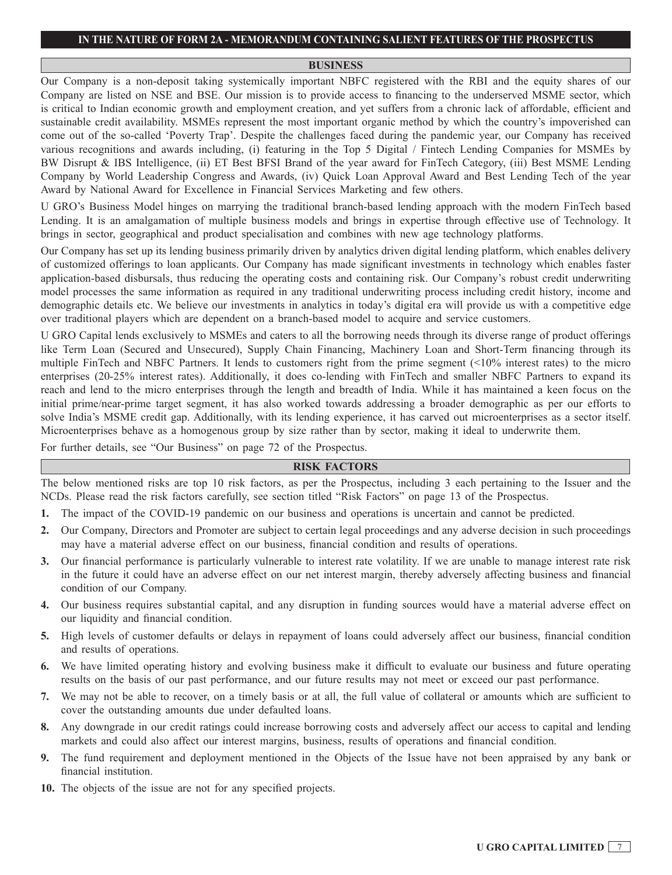#### **BUSINESS**

Our Company is a non-deposit taking systemically important NBFC registered with the RBI and the equity shares of our Company are listed on NSE and BSE. Our mission is to provide access to financing to the underserved MSME sector, which is critical to Indian economic growth and employment creation, and yet suffers from a chronic lack of affordable, efficient and sustainable credit availability. MSMEs represent the most important organic method by which the country's impoverished can come out of the so-called 'Poverty Trap'. Despite the challenges faced during the pandemic year, our Company has received various recognitions and awards including, (i) featuring in the Top 5 Digital / Fintech Lending Companies for MSMEs by BW Disrupt & IBS Intelligence, (ii) ET Best BFSI Brand of the year award for FinTech Category, (iii) Best MSME Lending Company by World Leadership Congress and Awards, (iv) Quick Loan Approval Award and Best Lending Tech of the year Award by National Award for Excellence in Financial Services Marketing and few others.

U GRO's Business Model hinges on marrying the traditional branch-based lending approach with the modern FinTech based Lending. It is an amalgamation of multiple business models and brings in expertise through effective use of Technology. It brings in sector, geographical and product specialisation and combines with new age technology platforms.

Our Company has set up its lending business primarily driven by analytics driven digital lending platform, which enables delivery of customized offerings to loan applicants. Our Company has made significant investments in technology which enables faster application-based disbursals, thus reducing the operating costs and containing risk. Our Company's robust credit underwriting model processes the same information as required in any traditional underwriting process including credit history, income and demographic details etc. We believe our investments in analytics in today's digital era will provide us with a competitive edge over traditional players which are dependent on a branch-based model to acquire and service customers.

U GRO Capital lends exclusively to MSMEs and caters to all the borrowing needs through its diverse range of product offerings like Term Loan (Secured and Unsecured), Supply Chain Financing, Machinery Loan and Short-Term financing through its multiple FinTech and NBFC Partners. It lends to customers right from the prime segment (<10% interest rates) to the micro enterprises (20-25% interest rates). Additionally, it does co-lending with FinTech and smaller NBFC Partners to expand its reach and lend to the micro enterprises through the length and breadth of India. While it has maintained a keen focus on the initial prime/near-prime target segment, it has also worked towards addressing a broader demographic as per our efforts to solve India's MSME credit gap. Additionally, with its lending experience, it has carved out microenterprises as a sector itself. Microenterprises behave as a homogenous group by size rather than by sector, making it ideal to underwrite them.

For further details, see "Our Business" on page 72 of the Prospectus.

#### **RISK FACTORS**

The below mentioned risks are top 10 risk factors, as per the Prospectus, including 3 each pertaining to the Issuer and the NCDs. Please read the risk factors carefully, see section titled "Risk Factors" on page 13 of the Prospectus.

- **1.** The impact of the COVID-19 pandemic on our business and operations is uncertain and cannot be predicted.
- **2.** Our Company, Directors and Promoter are subject to certain legal proceedings and any adverse decision in such proceedings may have a material adverse effect on our business, financial condition and results of operations.
- **3.** Our financial performance is particularly vulnerable to interest rate volatility. If we are unable to manage interest rate risk in the future it could have an adverse effect on our net interest margin, thereby adversely affecting business and financial condition of our Company.
- **4.** Our business requires substantial capital, and any disruption in funding sources would have a material adverse effect on our liquidity and financial condition.
- **5.** High levels of customer defaults or delays in repayment of loans could adversely affect our business, financial condition and results of operations.
- **6.** We have limited operating history and evolving business make it difficult to evaluate our business and future operating results on the basis of our past performance, and our future results may not meet or exceed our past performance.
- **7.** We may not be able to recover, on a timely basis or at all, the full value of collateral or amounts which are sufficient to cover the outstanding amounts due under defaulted loans.
- **8.** Any downgrade in our credit ratings could increase borrowing costs and adversely affect our access to capital and lending markets and could also affect our interest margins, business, results of operations and financial condition.
- **9.** The fund requirement and deployment mentioned in the Objects of the Issue have not been appraised by any bank or financial institution.
- **10.** The objects of the issue are not for any specified projects.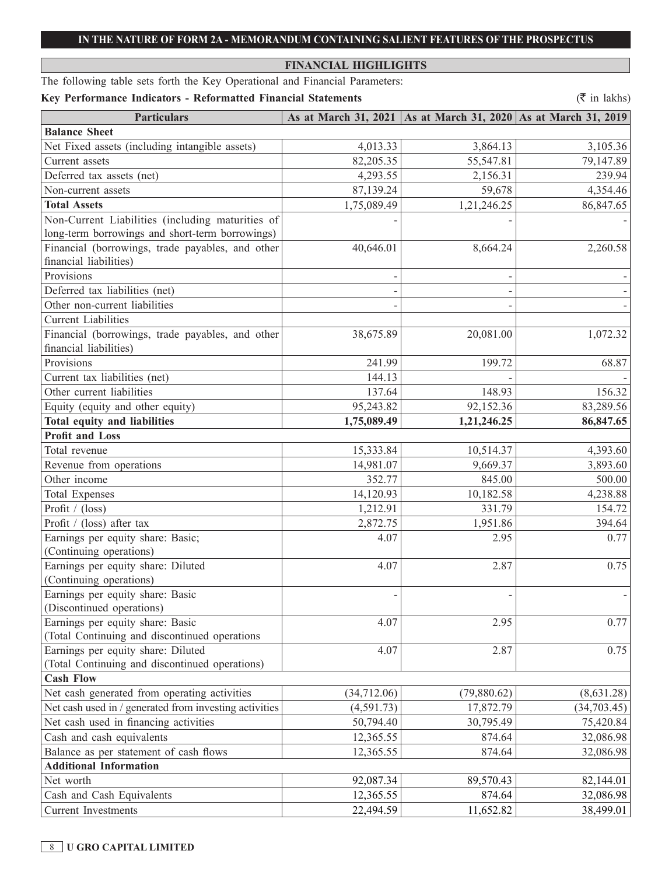## **FINANCIAL HIGHLIGHTS**

The following table sets forth the Key Operational and Financial Parameters:

## Key Performance Indicators - Reformatted Financial Statements ( $\bar{\tau}$  in lakhs)

| <b>Particulars</b>                                     |             | As at March 31, 2021   As at March 31, 2020   As at March 31, 2019 |              |
|--------------------------------------------------------|-------------|--------------------------------------------------------------------|--------------|
| <b>Balance Sheet</b>                                   |             |                                                                    |              |
| Net Fixed assets (including intangible assets)         | 4,013.33    | 3,864.13                                                           | 3,105.36     |
| Current assets                                         | 82,205.35   | 55,547.81                                                          | 79,147.89    |
| Deferred tax assets (net)                              | 4,293.55    | 2,156.31                                                           | 239.94       |
| Non-current assets                                     | 87,139.24   | 59,678                                                             | 4,354.46     |
| <b>Total Assets</b>                                    | 1,75,089.49 | 1,21,246.25                                                        | 86,847.65    |
| Non-Current Liabilities (including maturities of       |             |                                                                    |              |
| long-term borrowings and short-term borrowings)        |             |                                                                    |              |
| Financial (borrowings, trade payables, and other       | 40,646.01   | 8,664.24                                                           | 2,260.58     |
| financial liabilities)                                 |             |                                                                    |              |
| Provisions                                             |             |                                                                    |              |
| Deferred tax liabilities (net)                         |             |                                                                    |              |
| Other non-current liabilities                          |             |                                                                    |              |
| <b>Current Liabilities</b>                             |             |                                                                    |              |
| Financial (borrowings, trade payables, and other       | 38,675.89   | 20,081.00                                                          | 1,072.32     |
| financial liabilities)                                 |             |                                                                    |              |
| Provisions                                             | 241.99      | 199.72                                                             | 68.87        |
| Current tax liabilities (net)                          | 144.13      |                                                                    |              |
| Other current liabilities                              | 137.64      | 148.93                                                             | 156.32       |
| Equity (equity and other equity)                       | 95,243.82   | 92,152.36                                                          | 83,289.56    |
| Total equity and liabilities                           | 1,75,089.49 | 1,21,246.25                                                        | 86,847.65    |
| <b>Profit and Loss</b>                                 |             |                                                                    |              |
| Total revenue                                          | 15,333.84   | 10,514.37                                                          | 4,393.60     |
| Revenue from operations                                | 14,981.07   | 9,669.37                                                           | 3,893.60     |
| Other income                                           | 352.77      | 845.00                                                             | 500.00       |
| <b>Total Expenses</b>                                  | 14,120.93   | 10,182.58                                                          | 4,238.88     |
| Profit / (loss)                                        | 1,212.91    | 331.79                                                             | 154.72       |
| Profit / (loss) after tax                              | 2,872.75    | 1,951.86                                                           | 394.64       |
| Earnings per equity share: Basic;                      | 4.07        | 2.95                                                               | 0.77         |
| (Continuing operations)                                |             |                                                                    |              |
| Earnings per equity share: Diluted                     | 4.07        | 2.87                                                               | 0.75         |
| (Continuing operations)                                |             |                                                                    |              |
| Earnings per equity share: Basic                       |             |                                                                    |              |
| (Discontinued operations)                              |             |                                                                    |              |
| Earnings per equity share: Basic                       | 4.07        | 2.95                                                               | 0.77         |
| (Total Continuing and discontinued operations          |             |                                                                    |              |
| Earnings per equity share: Diluted                     | 4.07        | 2.87                                                               | 0.75         |
| (Total Continuing and discontinued operations)         |             |                                                                    |              |
| <b>Cash Flow</b>                                       |             |                                                                    |              |
| Net cash generated from operating activities           | (34,712.06) | (79,880.62)                                                        | (8,631.28)   |
| Net cash used in / generated from investing activities | (4,591.73)  | 17,872.79                                                          | (34, 703.45) |
| Net cash used in financing activities                  | 50,794.40   | 30,795.49                                                          | 75,420.84    |
| Cash and cash equivalents                              | 12,365.55   | 874.64                                                             | 32,086.98    |
| Balance as per statement of cash flows                 | 12,365.55   | 874.64                                                             | 32,086.98    |
| <b>Additional Information</b>                          |             |                                                                    |              |
| Net worth                                              | 92,087.34   | 89,570.43                                                          | 82,144.01    |
| Cash and Cash Equivalents                              | 12,365.55   | 874.64                                                             | 32,086.98    |
| <b>Current Investments</b>                             | 22,494.59   | 11,652.82                                                          | 38,499.01    |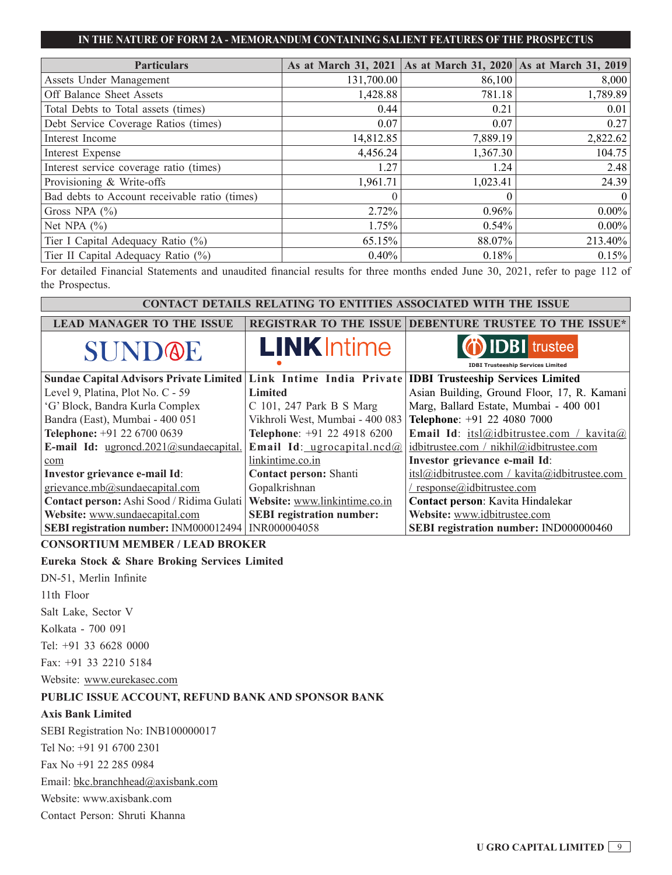| <b>Particulars</b>                            | As at March 31, 2021   As at March 31, 2020   As at March 31, 2019 |          |                 |
|-----------------------------------------------|--------------------------------------------------------------------|----------|-----------------|
| Assets Under Management                       | 131,700.00                                                         | 86,100   | 8,000           |
| Off Balance Sheet Assets                      | 1,428.88                                                           | 781.18   | 1,789.89        |
| Total Debts to Total assets (times)           | 0.44                                                               | 0.21     | 0.01            |
| Debt Service Coverage Ratios (times)          | 0.07                                                               | 0.07     | 0.27            |
| Interest Income                               | 14,812.85                                                          | 7,889.19 | 2,822.62        |
| Interest Expense                              | 4,456.24                                                           | 1,367.30 | 104.75          |
| Interest service coverage ratio (times)       | 1.27                                                               | 1.24     | 2.48            |
| Provisioning & Write-offs                     | 1,961.71                                                           | 1,023.41 | 24.39           |
| Bad debts to Account receivable ratio (times) | $\Omega$                                                           | $\Omega$ | $\vert 0 \vert$ |
| Gross NPA $(\% )$                             | 2.72%                                                              | $0.96\%$ | $0.00\%$        |
| Net NPA $(\% )$                               | 1.75%                                                              | $0.54\%$ | $0.00\%$        |
| Tier I Capital Adequacy Ratio (%)             | 65.15%                                                             | 88.07%   | 213.40%         |
| Tier II Capital Adequacy Ratio (%)            | $0.40\%$                                                           | 0.18%    | 0.15%           |

For detailed Financial Statements and unaudited financial results for three months ended June 30, 2021, refer to page 112 of the Prospectus.

# **CONTACT DETAILS RELATING TO ENTITIES ASSOCIATED WITH THE ISSUE**

| <b>LEAD MANAGER TO THE ISSUE</b>                                                                    |                                  | <b>REGISTRAR TO THE ISSUE DEBENTURE TRUSTEE TO THE ISSUE*</b> |  |
|-----------------------------------------------------------------------------------------------------|----------------------------------|---------------------------------------------------------------|--|
| SUNDOE                                                                                              | <b>LINK</b> Intime               | <b><i>i</i></b> IDBI trustee                                  |  |
|                                                                                                     |                                  | <b>IDBI Trusteeship Services Limited</b>                      |  |
| Sundae Capital Advisors Private Limited Link Intime India Private IDBI Trusteeship Services Limited |                                  |                                                               |  |
| Level 9, Platina, Plot No. C - 59                                                                   | <b>Limited</b>                   | Asian Building, Ground Floor, 17, R. Kamani                   |  |
| 'G' Block, Bandra Kurla Complex                                                                     | $C$ 101, 247 Park B S Marg       | Marg, Ballard Estate, Mumbai - 400 001                        |  |
| Bandra (East), Mumbai - 400 051                                                                     | Vikhroli West, Mumbai - 400 083  | Telephone: +91 22 4080 7000                                   |  |
| Telephone: +91 22 6700 0639                                                                         | Telephone: +91 22 4918 6200      | Email Id: itsl@idbitrustee.com / kavita@                      |  |
| E-mail Id: ugroncd.2021@sundaecapital.                                                              | Email Id: ugrocapital.ncd $@$    | idbitrustee.com / nikhil@idbitrustee.com                      |  |
| com                                                                                                 | linkintime.co.in                 | Investor grievance e-mail Id:                                 |  |
| Investor grievance e-mail Id:                                                                       | <b>Contact person:</b> Shanti    | itsl@idbitrustee.com / kavita@idbitrustee.com                 |  |
| grievance.mb@sundaecapital.com                                                                      | Gopalkrishnan                    | response@idbitrustee.com                                      |  |
| Contact person: Ashi Sood / Ridima Gulati                                                           | Website: www.linkintime.co.in    | Contact person: Kavita Hindalekar                             |  |
| Website: www.sundaecapital.com                                                                      | <b>SEBI</b> registration number: | Website: www.idbitrustee.com                                  |  |
| <b>SEBI registration number:</b> INM000012494                                                       | INR000004058                     | SEBI registration number: IND000000460                        |  |

## **CONSORTIUM MEMBER / LEAD BROKER**

## **Eureka Stock & Share Broking Services Limited**

DN-51, Merlin Infinite

11th Floor

Salt Lake, Sector V

Kolkata - 700 091

Tel: +91 33 6628 0000

Fax: +91 33 2210 5184

Website: www.eurekasec.com

## **PUBLIC ISSUE ACCOUNT, REFUND BANK AND SPONSOR BANK**

#### **Axis Bank Limited**

SEBI Registration No: INB100000017

Tel No: +91 91 6700 2301

Fax No +91 22 285 0984

Email: bkc.branchhead@axisbank.com

Website: www.axisbank.com

Contact Person: Shruti Khanna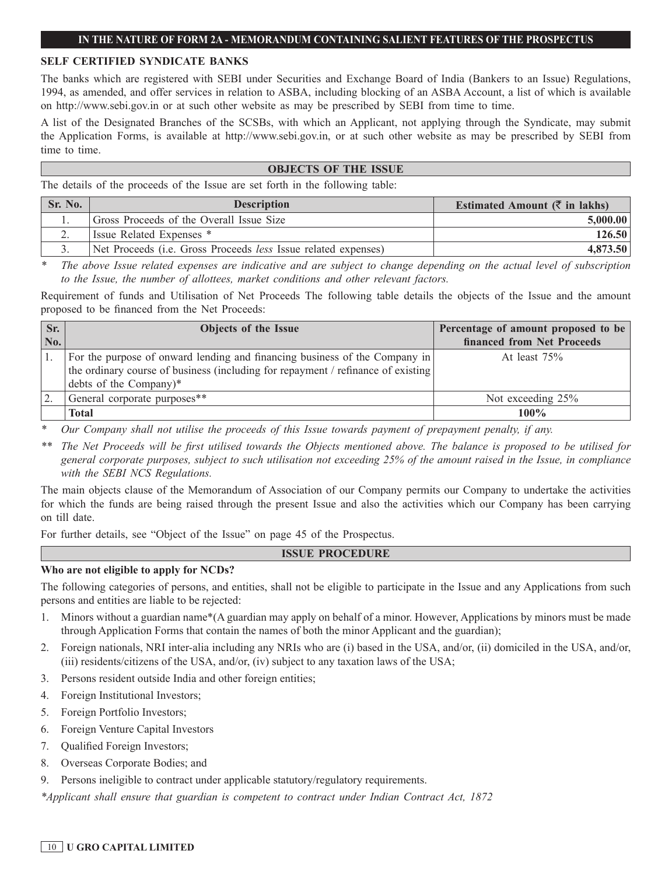#### **SELF CERTIFIED SYNDICATE BANKS**

The banks which are registered with SEBI under Securities and Exchange Board of India (Bankers to an Issue) Regulations, 1994, as amended, and offer services in relation to ASBA, including blocking of an ASBA Account, a list of which is available on http://www.sebi.gov.in or at such other website as may be prescribed by SEBI from time to time.

A list of the Designated Branches of the SCSBs, with which an Applicant, not applying through the Syndicate, may submit the Application Forms, is available at http://www.sebi.gov.in, or at such other website as may be prescribed by SEBI from time to time.

#### **OBJECTS OF THE ISSUE**

The details of the proceeds of the Issue are set forth in the following table:

| Sr. No. | <b>Description</b>                                                            | Estimated Amount $(\bar{\zeta}$ in lakhs) |
|---------|-------------------------------------------------------------------------------|-------------------------------------------|
|         | Gross Proceeds of the Overall Issue Size                                      | 5,000.00                                  |
|         | Issue Related Expenses *                                                      | 126.50                                    |
|         | Net Proceeds ( <i>i.e.</i> Gross Proceeds <i>less</i> Issue related expenses) | 4,873.50                                  |

*\* The above Issue related expenses are indicative and are subject to change depending on the actual level of subscription to the Issue, the number of allottees, market conditions and other relevant factors.*

Requirement of funds and Utilisation of Net Proceeds The following table details the objects of the Issue and the amount proposed to be financed from the Net Proceeds:

| $\overline{\text{S}}$ r. | Objects of the Issue                                                              | Percentage of amount proposed to be |
|--------------------------|-----------------------------------------------------------------------------------|-------------------------------------|
| No.                      |                                                                                   | financed from Net Proceeds          |
|                          | For the purpose of onward lending and financing business of the Company in        | At least $75%$                      |
|                          | the ordinary course of business (including for repayment / refinance of existing) |                                     |
|                          | debts of the Company)*                                                            |                                     |
|                          | General corporate purposes**                                                      | Not exceeding 25%                   |
|                          | <b>Total</b>                                                                      | $100\%$                             |

*\* Our Company shall not utilise the proceeds of this Issue towards payment of prepayment penalty, if any.*

*\*\* The Net Proceeds will be first utilised towards the Objects mentioned above. The balance is proposed to be utilised for general corporate purposes, subject to such utilisation not exceeding 25% of the amount raised in the Issue, in compliance with the SEBI NCS Regulations.*

The main objects clause of the Memorandum of Association of our Company permits our Company to undertake the activities for which the funds are being raised through the present Issue and also the activities which our Company has been carrying on till date.

For further details, see "Object of the Issue" on page 45 of the Prospectus.

#### **ISSUE PROCEDURE**

#### **Who are not eligible to apply for NCDs?**

The following categories of persons, and entities, shall not be eligible to participate in the Issue and any Applications from such persons and entities are liable to be rejected:

- 1. Minors without a guardian name\*(A guardian may apply on behalf of a minor. However, Applications by minors must be made through Application Forms that contain the names of both the minor Applicant and the guardian);
- 2. Foreign nationals, NRI inter-alia including any NRIs who are (i) based in the USA, and/or, (ii) domiciled in the USA, and/or, (iii) residents/citizens of the USA, and/or, (iv) subject to any taxation laws of the USA;
- 3. Persons resident outside India and other foreign entities;
- 4. Foreign Institutional Investors;
- 5. Foreign Portfolio Investors;
- 6. Foreign Venture Capital Investors
- 7. Qualified Foreign Investors;
- 8. Overseas Corporate Bodies; and
- 9. Persons ineligible to contract under applicable statutory/regulatory requirements.

*\*Applicant shall ensure that guardian is competent to contract under Indian Contract Act, 1872*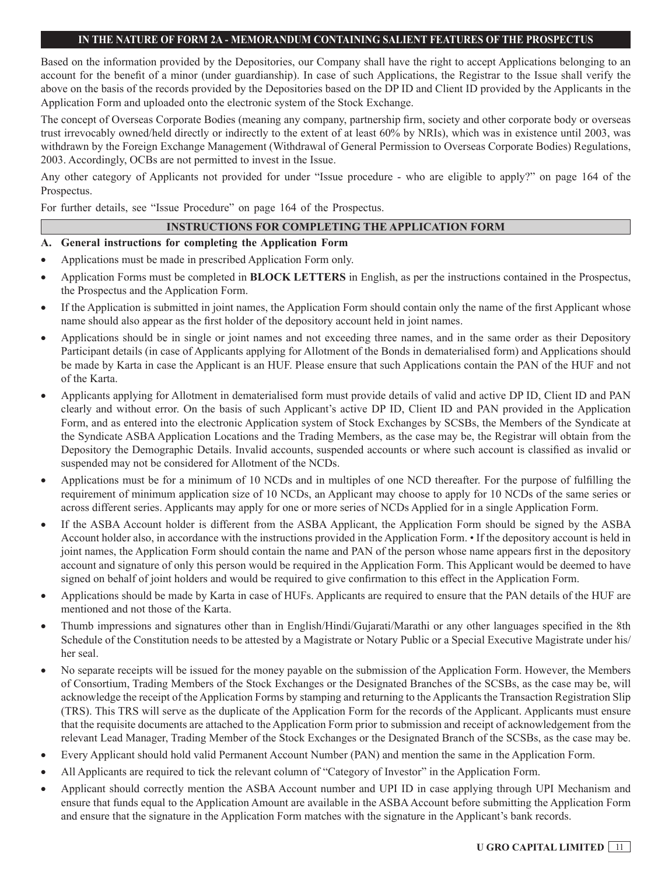Based on the information provided by the Depositories, our Company shall have the right to accept Applications belonging to an account for the benefit of a minor (under guardianship). In case of such Applications, the Registrar to the Issue shall verify the above on the basis of the records provided by the Depositories based on the DP ID and Client ID provided by the Applicants in the Application Form and uploaded onto the electronic system of the Stock Exchange.

The concept of Overseas Corporate Bodies (meaning any company, partnership firm, society and other corporate body or overseas trust irrevocably owned/held directly or indirectly to the extent of at least 60% by NRIs), which was in existence until 2003, was withdrawn by the Foreign Exchange Management (Withdrawal of General Permission to Overseas Corporate Bodies) Regulations, 2003. Accordingly, OCBs are not permitted to invest in the Issue.

Any other category of Applicants not provided for under "Issue procedure - who are eligible to apply?" on page 164 of the Prospectus.

For further details, see "Issue Procedure" on page 164 of the Prospectus.

### **INSTRUCTIONS FOR COMPLETING THE APPLICATION FORM**

### **A. General instructions for completing the Application Form**

- Applications must be made in prescribed Application Form only.
- Application Forms must be completed in **BLOCK LETTERS** in English, as per the instructions contained in the Prospectus, the Prospectus and the Application Form.
- If the Application is submitted in joint names, the Application Form should contain only the name of the first Applicant whose name should also appear as the first holder of the depository account held in joint names.
- Applications should be in single or joint names and not exceeding three names, and in the same order as their Depository Participant details (in case of Applicants applying for Allotment of the Bonds in dematerialised form) and Applications should be made by Karta in case the Applicant is an HUF. Please ensure that such Applications contain the PAN of the HUF and not of the Karta.
- Applicants applying for Allotment in dematerialised form must provide details of valid and active DP ID, Client ID and PAN clearly and without error. On the basis of such Applicant's active DP ID, Client ID and PAN provided in the Application Form, and as entered into the electronic Application system of Stock Exchanges by SCSBs, the Members of the Syndicate at the Syndicate ASBA Application Locations and the Trading Members, as the case may be, the Registrar will obtain from the Depository the Demographic Details. Invalid accounts, suspended accounts or where such account is classified as invalid or suspended may not be considered for Allotment of the NCDs.
- Applications must be for a minimum of 10 NCDs and in multiples of one NCD thereafter. For the purpose of fulfilling the requirement of minimum application size of 10 NCDs, an Applicant may choose to apply for 10 NCDs of the same series or across different series. Applicants may apply for one or more series of NCDs Applied for in a single Application Form.
- If the ASBA Account holder is different from the ASBA Applicant, the Application Form should be signed by the ASBA Account holder also, in accordance with the instructions provided in the Application Form. • If the depository account is held in joint names, the Application Form should contain the name and PAN of the person whose name appears first in the depository account and signature of only this person would be required in the Application Form. This Applicant would be deemed to have signed on behalf of joint holders and would be required to give confirmation to this effect in the Application Form.
- Applications should be made by Karta in case of HUFs. Applicants are required to ensure that the PAN details of the HUF are mentioned and not those of the Karta.
- Thumb impressions and signatures other than in English/Hindi/Gujarati/Marathi or any other languages specified in the 8th Schedule of the Constitution needs to be attested by a Magistrate or Notary Public or a Special Executive Magistrate under his/ her seal.
- No separate receipts will be issued for the money payable on the submission of the Application Form. However, the Members of Consortium, Trading Members of the Stock Exchanges or the Designated Branches of the SCSBs, as the case may be, will acknowledge the receipt of the Application Forms by stamping and returning to the Applicants the Transaction Registration Slip (TRS). This TRS will serve as the duplicate of the Application Form for the records of the Applicant. Applicants must ensure that the requisite documents are attached to the Application Form prior to submission and receipt of acknowledgement from the relevant Lead Manager, Trading Member of the Stock Exchanges or the Designated Branch of the SCSBs, as the case may be.
- Every Applicant should hold valid Permanent Account Number (PAN) and mention the same in the Application Form.
- All Applicants are required to tick the relevant column of "Category of Investor" in the Application Form.
- Applicant should correctly mention the ASBA Account number and UPI ID in case applying through UPI Mechanism and ensure that funds equal to the Application Amount are available in the ASBA Account before submitting the Application Form and ensure that the signature in the Application Form matches with the signature in the Applicant's bank records.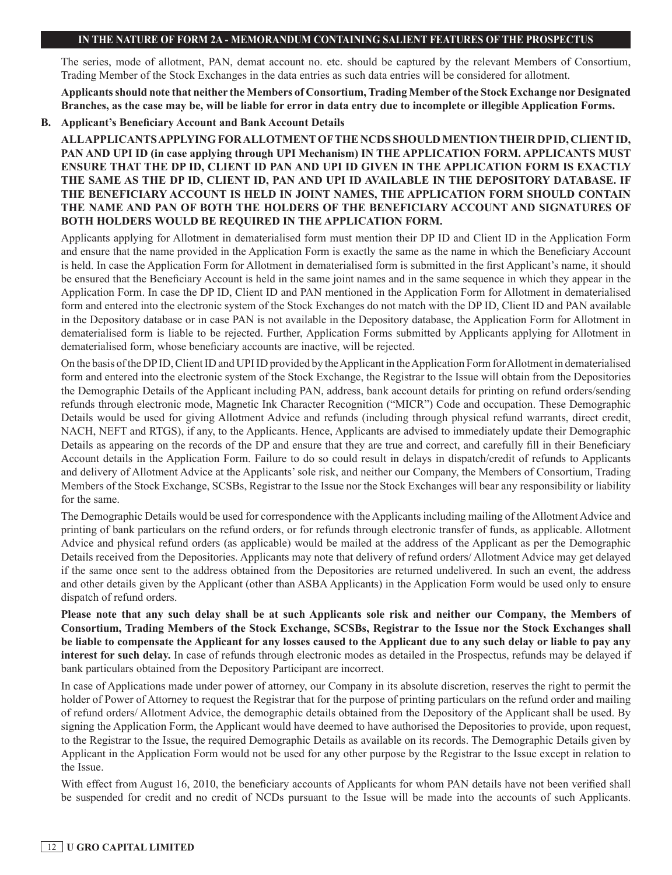The series, mode of allotment, PAN, demat account no. etc. should be captured by the relevant Members of Consortium, Trading Member of the Stock Exchanges in the data entries as such data entries will be considered for allotment.

**Applicants should note that neither the Members of Consortium, Trading Member of the Stock Exchange nor Designated Branches, as the case may be, will be liable for error in data entry due to incomplete or illegible Application Forms.**

#### **B. Applicant's Beneficiary Account and Bank Account Details**

**ALL APPLICANTS APPLYING FOR ALLOTMENT OF THE NCDS SHOULD MENTION THEIR DP ID, CLIENT ID, PAN AND UPI ID (in case applying through UPI Mechanism) IN THE APPLICATION FORM. APPLICANTS MUST ENSURE THAT THE DP ID, CLIENT ID PAN AND UPI ID GIVEN IN THE APPLICATION FORM IS EXACTLY THE SAME AS THE DP ID, CLIENT ID, PAN AND UPI ID AVAILABLE IN THE DEPOSITORY DATABASE. IF THE BENEFICIARY ACCOUNT IS HELD IN JOINT NAMES, THE APPLICATION FORM SHOULD CONTAIN THE NAME AND PAN OF BOTH THE HOLDERS OF THE BENEFICIARY ACCOUNT AND SIGNATURES OF BOTH HOLDERS WOULD BE REQUIRED IN THE APPLICATION FORM.**

Applicants applying for Allotment in dematerialised form must mention their DP ID and Client ID in the Application Form and ensure that the name provided in the Application Form is exactly the same as the name in which the Beneficiary Account is held. In case the Application Form for Allotment in dematerialised form is submitted in the first Applicant's name, it should be ensured that the Beneficiary Account is held in the same joint names and in the same sequence in which they appear in the Application Form. In case the DP ID, Client ID and PAN mentioned in the Application Form for Allotment in dematerialised form and entered into the electronic system of the Stock Exchanges do not match with the DP ID, Client ID and PAN available in the Depository database or in case PAN is not available in the Depository database, the Application Form for Allotment in dematerialised form is liable to be rejected. Further, Application Forms submitted by Applicants applying for Allotment in dematerialised form, whose beneficiary accounts are inactive, will be rejected.

On the basis of the DP ID, Client ID and UPI ID provided by the Applicant in the Application Form for Allotment in dematerialised form and entered into the electronic system of the Stock Exchange, the Registrar to the Issue will obtain from the Depositories the Demographic Details of the Applicant including PAN, address, bank account details for printing on refund orders/sending refunds through electronic mode, Magnetic Ink Character Recognition ("MICR") Code and occupation. These Demographic Details would be used for giving Allotment Advice and refunds (including through physical refund warrants, direct credit, NACH, NEFT and RTGS), if any, to the Applicants. Hence, Applicants are advised to immediately update their Demographic Details as appearing on the records of the DP and ensure that they are true and correct, and carefully fill in their Beneficiary Account details in the Application Form. Failure to do so could result in delays in dispatch/credit of refunds to Applicants and delivery of Allotment Advice at the Applicants' sole risk, and neither our Company, the Members of Consortium, Trading Members of the Stock Exchange, SCSBs, Registrar to the Issue nor the Stock Exchanges will bear any responsibility or liability for the same.

The Demographic Details would be used for correspondence with the Applicants including mailing of the Allotment Advice and printing of bank particulars on the refund orders, or for refunds through electronic transfer of funds, as applicable. Allotment Advice and physical refund orders (as applicable) would be mailed at the address of the Applicant as per the Demographic Details received from the Depositories. Applicants may note that delivery of refund orders/ Allotment Advice may get delayed if the same once sent to the address obtained from the Depositories are returned undelivered. In such an event, the address and other details given by the Applicant (other than ASBA Applicants) in the Application Form would be used only to ensure dispatch of refund orders.

**Please note that any such delay shall be at such Applicants sole risk and neither our Company, the Members of Consortium, Trading Members of the Stock Exchange, SCSBs, Registrar to the Issue nor the Stock Exchanges shall be liable to compensate the Applicant for any losses caused to the Applicant due to any such delay or liable to pay any interest for such delay.** In case of refunds through electronic modes as detailed in the Prospectus, refunds may be delayed if bank particulars obtained from the Depository Participant are incorrect.

In case of Applications made under power of attorney, our Company in its absolute discretion, reserves the right to permit the holder of Power of Attorney to request the Registrar that for the purpose of printing particulars on the refund order and mailing of refund orders/ Allotment Advice, the demographic details obtained from the Depository of the Applicant shall be used. By signing the Application Form, the Applicant would have deemed to have authorised the Depositories to provide, upon request, to the Registrar to the Issue, the required Demographic Details as available on its records. The Demographic Details given by Applicant in the Application Form would not be used for any other purpose by the Registrar to the Issue except in relation to the Issue.

With effect from August 16, 2010, the beneficiary accounts of Applicants for whom PAN details have not been verified shall be suspended for credit and no credit of NCDs pursuant to the Issue will be made into the accounts of such Applicants.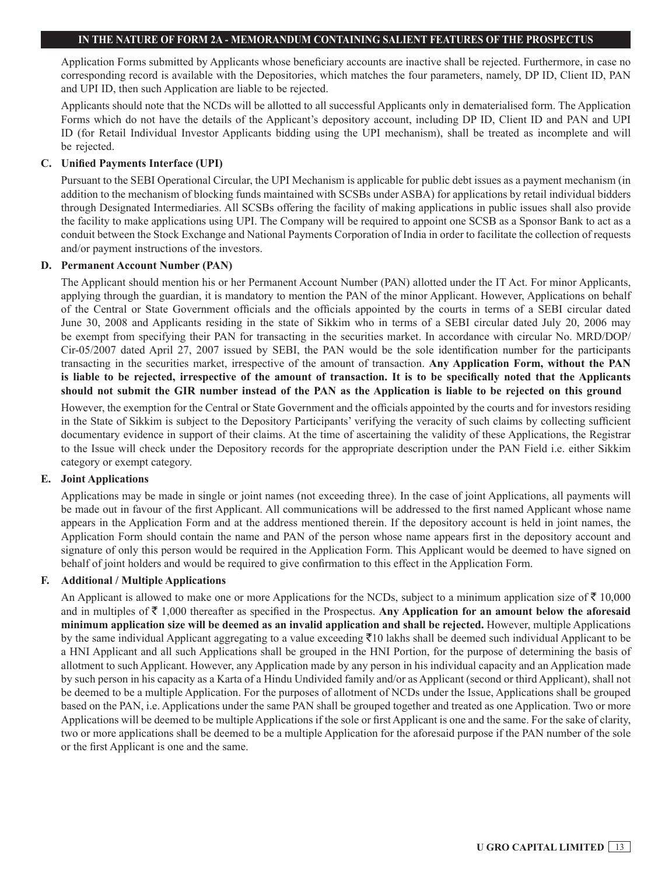Application Forms submitted by Applicants whose beneficiary accounts are inactive shall be rejected. Furthermore, in case no corresponding record is available with the Depositories, which matches the four parameters, namely, DP ID, Client ID, PAN and UPI ID, then such Application are liable to be rejected.

Applicants should note that the NCDs will be allotted to all successful Applicants only in dematerialised form. The Application Forms which do not have the details of the Applicant's depository account, including DP ID, Client ID and PAN and UPI ID (for Retail Individual Investor Applicants bidding using the UPI mechanism), shall be treated as incomplete and will be rejected.

#### **C. Unified Payments Interface (UPI)**

Pursuant to the SEBI Operational Circular, the UPI Mechanism is applicable for public debt issues as a payment mechanism (in addition to the mechanism of blocking funds maintained with SCSBs under ASBA) for applications by retail individual bidders through Designated Intermediaries. All SCSBs offering the facility of making applications in public issues shall also provide the facility to make applications using UPI. The Company will be required to appoint one SCSB as a Sponsor Bank to act as a conduit between the Stock Exchange and National Payments Corporation of India in order to facilitate the collection of requests and/or payment instructions of the investors.

#### **D. Permanent Account Number (PAN)**

The Applicant should mention his or her Permanent Account Number (PAN) allotted under the IT Act. For minor Applicants, applying through the guardian, it is mandatory to mention the PAN of the minor Applicant. However, Applications on behalf of the Central or State Government officials and the officials appointed by the courts in terms of a SEBI circular dated June 30, 2008 and Applicants residing in the state of Sikkim who in terms of a SEBI circular dated July 20, 2006 may be exempt from specifying their PAN for transacting in the securities market. In accordance with circular No. MRD/DOP/ Cir-05/2007 dated April 27, 2007 issued by SEBI, the PAN would be the sole identification number for the participants transacting in the securities market, irrespective of the amount of transaction. **Any Application Form, without the PAN is liable to be rejected, irrespective of the amount of transaction. It is to be specifically noted that the Applicants should not submit the GIR number instead of the PAN as the Application is liable to be rejected on this ground**

However, the exemption for the Central or State Government and the officials appointed by the courts and for investors residing in the State of Sikkim is subject to the Depository Participants' verifying the veracity of such claims by collecting sufficient documentary evidence in support of their claims. At the time of ascertaining the validity of these Applications, the Registrar to the Issue will check under the Depository records for the appropriate description under the PAN Field i.e. either Sikkim category or exempt category.

### **E. Joint Applications**

Applications may be made in single or joint names (not exceeding three). In the case of joint Applications, all payments will be made out in favour of the first Applicant. All communications will be addressed to the first named Applicant whose name appears in the Application Form and at the address mentioned therein. If the depository account is held in joint names, the Application Form should contain the name and PAN of the person whose name appears first in the depository account and signature of only this person would be required in the Application Form. This Applicant would be deemed to have signed on behalf of joint holders and would be required to give confirmation to this effect in the Application Form.

### **F. Additional / Multiple Applications**

An Applicant is allowed to make one or more Applications for the NCDs, subject to a minimum application size of  $\bar{\tau}$  10,000 and in multiples of  $\bar{\tau}$  1,000 thereafter as specified in the Prospectus. Any Application for an amount below the aforesaid **minimum application size will be deemed as an invalid application and shall be rejected.** However, multiple Applications by the same individual Applicant aggregating to a value exceeding  $\bar{\tau}$ 10 lakhs shall be deemed such individual Applicant to be a HNI Applicant and all such Applications shall be grouped in the HNI Portion, for the purpose of determining the basis of allotment to such Applicant. However, any Application made by any person in his individual capacity and an Application made by such person in his capacity as a Karta of a Hindu Undivided family and/or as Applicant (second or third Applicant), shall not be deemed to be a multiple Application. For the purposes of allotment of NCDs under the Issue, Applications shall be grouped based on the PAN, i.e. Applications under the same PAN shall be grouped together and treated as one Application. Two or more Applications will be deemed to be multiple Applications if the sole or first Applicant is one and the same. For the sake of clarity, two or more applications shall be deemed to be a multiple Application for the aforesaid purpose if the PAN number of the sole or the first Applicant is one and the same.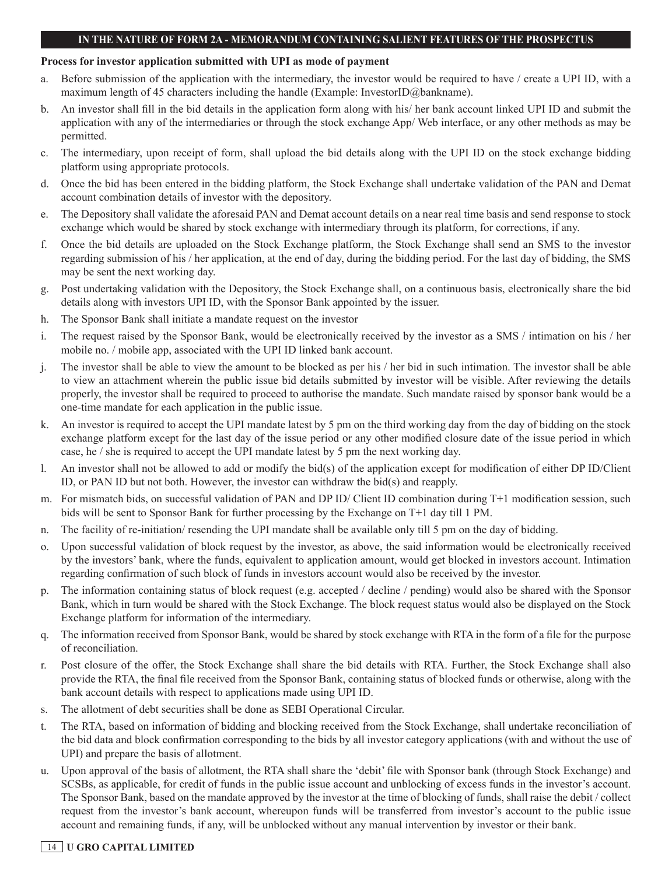#### **Process for investor application submitted with UPI as mode of payment**

- a. Before submission of the application with the intermediary, the investor would be required to have / create a UPI ID, with a maximum length of 45 characters including the handle (Example: InvestorID@bankname).
- b. An investor shall fill in the bid details in the application form along with his/ her bank account linked UPI ID and submit the application with any of the intermediaries or through the stock exchange App/ Web interface, or any other methods as may be permitted.
- c. The intermediary, upon receipt of form, shall upload the bid details along with the UPI ID on the stock exchange bidding platform using appropriate protocols.
- d. Once the bid has been entered in the bidding platform, the Stock Exchange shall undertake validation of the PAN and Demat account combination details of investor with the depository.
- e. The Depository shall validate the aforesaid PAN and Demat account details on a near real time basis and send response to stock exchange which would be shared by stock exchange with intermediary through its platform, for corrections, if any.
- f. Once the bid details are uploaded on the Stock Exchange platform, the Stock Exchange shall send an SMS to the investor regarding submission of his / her application, at the end of day, during the bidding period. For the last day of bidding, the SMS may be sent the next working day.
- g. Post undertaking validation with the Depository, the Stock Exchange shall, on a continuous basis, electronically share the bid details along with investors UPI ID, with the Sponsor Bank appointed by the issuer.
- h. The Sponsor Bank shall initiate a mandate request on the investor
- i. The request raised by the Sponsor Bank, would be electronically received by the investor as a SMS / intimation on his / her mobile no. / mobile app, associated with the UPI ID linked bank account.
- j. The investor shall be able to view the amount to be blocked as per his / her bid in such intimation. The investor shall be able to view an attachment wherein the public issue bid details submitted by investor will be visible. After reviewing the details properly, the investor shall be required to proceed to authorise the mandate. Such mandate raised by sponsor bank would be a one-time mandate for each application in the public issue.
- k. An investor is required to accept the UPI mandate latest by 5 pm on the third working day from the day of bidding on the stock exchange platform except for the last day of the issue period or any other modified closure date of the issue period in which case, he / she is required to accept the UPI mandate latest by 5 pm the next working day.
- l. An investor shall not be allowed to add or modify the bid(s) of the application except for modification of either DP ID/Client ID, or PAN ID but not both. However, the investor can withdraw the bid(s) and reapply.
- m. For mismatch bids, on successful validation of PAN and DP ID/ Client ID combination during T+1 modification session, such bids will be sent to Sponsor Bank for further processing by the Exchange on T+1 day till 1 PM.
- n. The facility of re-initiation/ resending the UPI mandate shall be available only till 5 pm on the day of bidding.
- o. Upon successful validation of block request by the investor, as above, the said information would be electronically received by the investors' bank, where the funds, equivalent to application amount, would get blocked in investors account. Intimation regarding confirmation of such block of funds in investors account would also be received by the investor.
- p. The information containing status of block request (e.g. accepted / decline / pending) would also be shared with the Sponsor Bank, which in turn would be shared with the Stock Exchange. The block request status would also be displayed on the Stock Exchange platform for information of the intermediary.
- q. The information received from Sponsor Bank, would be shared by stock exchange with RTA in the form of a file for the purpose of reconciliation.
- r. Post closure of the offer, the Stock Exchange shall share the bid details with RTA. Further, the Stock Exchange shall also provide the RTA, the final file received from the Sponsor Bank, containing status of blocked funds or otherwise, along with the bank account details with respect to applications made using UPI ID.
- s. The allotment of debt securities shall be done as SEBI Operational Circular.
- t. The RTA, based on information of bidding and blocking received from the Stock Exchange, shall undertake reconciliation of the bid data and block confirmation corresponding to the bids by all investor category applications (with and without the use of UPI) and prepare the basis of allotment.
- u. Upon approval of the basis of allotment, the RTA shall share the 'debit' file with Sponsor bank (through Stock Exchange) and SCSBs, as applicable, for credit of funds in the public issue account and unblocking of excess funds in the investor's account. The Sponsor Bank, based on the mandate approved by the investor at the time of blocking of funds, shall raise the debit / collect request from the investor's bank account, whereupon funds will be transferred from investor's account to the public issue account and remaining funds, if any, will be unblocked without any manual intervention by investor or their bank.

## 14 **U GRO CAPITAL LIMITED**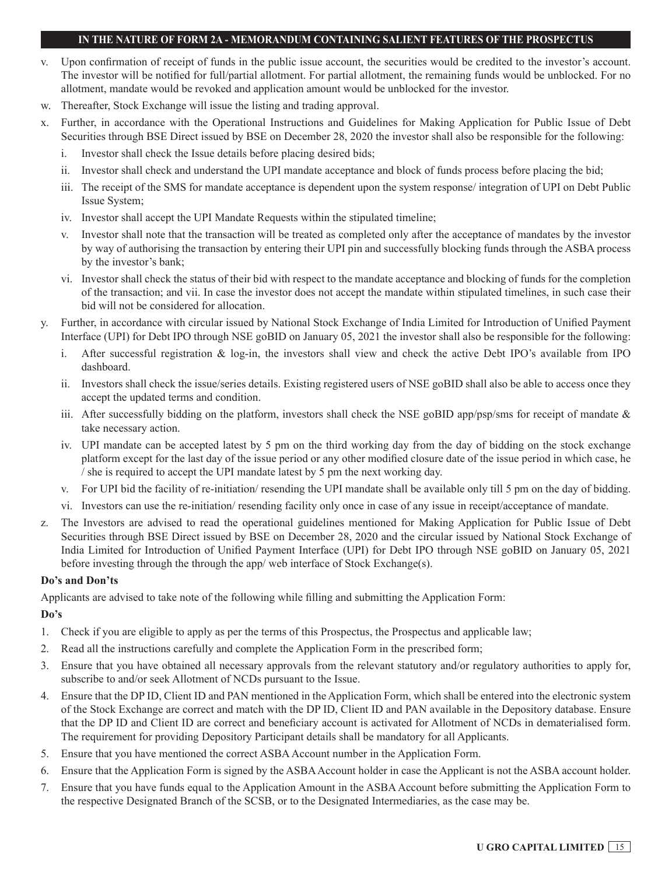- v. Upon confirmation of receipt of funds in the public issue account, the securities would be credited to the investor's account. The investor will be notified for full/partial allotment. For partial allotment, the remaining funds would be unblocked. For no allotment, mandate would be revoked and application amount would be unblocked for the investor.
- w. Thereafter, Stock Exchange will issue the listing and trading approval.
- x. Further, in accordance with the Operational Instructions and Guidelines for Making Application for Public Issue of Debt Securities through BSE Direct issued by BSE on December 28, 2020 the investor shall also be responsible for the following:
	- i. Investor shall check the Issue details before placing desired bids;
	- ii. Investor shall check and understand the UPI mandate acceptance and block of funds process before placing the bid;
	- iii. The receipt of the SMS for mandate acceptance is dependent upon the system response/ integration of UPI on Debt Public Issue System;
	- iv. Investor shall accept the UPI Mandate Requests within the stipulated timeline;
	- v. Investor shall note that the transaction will be treated as completed only after the acceptance of mandates by the investor by way of authorising the transaction by entering their UPI pin and successfully blocking funds through the ASBA process by the investor's bank;
	- vi. Investor shall check the status of their bid with respect to the mandate acceptance and blocking of funds for the completion of the transaction; and vii. In case the investor does not accept the mandate within stipulated timelines, in such case their bid will not be considered for allocation.
- y. Further, in accordance with circular issued by National Stock Exchange of India Limited for Introduction of Unified Payment Interface (UPI) for Debt IPO through NSE goBID on January 05, 2021 the investor shall also be responsible for the following:
	- i. After successful registration & log-in, the investors shall view and check the active Debt IPO's available from IPO dashboard.
	- ii. Investors shall check the issue/series details. Existing registered users of NSE goBID shall also be able to access once they accept the updated terms and condition.
	- iii. After successfully bidding on the platform, investors shall check the NSE goBID app/psp/sms for receipt of mandate  $\&$ take necessary action.
	- iv. UPI mandate can be accepted latest by 5 pm on the third working day from the day of bidding on the stock exchange platform except for the last day of the issue period or any other modified closure date of the issue period in which case, he / she is required to accept the UPI mandate latest by 5 pm the next working day.
	- v. For UPI bid the facility of re-initiation/ resending the UPI mandate shall be available only till 5 pm on the day of bidding.
	- vi. Investors can use the re-initiation/ resending facility only once in case of any issue in receipt/acceptance of mandate.
- z. The Investors are advised to read the operational guidelines mentioned for Making Application for Public Issue of Debt Securities through BSE Direct issued by BSE on December 28, 2020 and the circular issued by National Stock Exchange of India Limited for Introduction of Unified Payment Interface (UPI) for Debt IPO through NSE goBID on January 05, 2021 before investing through the through the app/ web interface of Stock Exchange(s).

### **Do's and Don'ts**

Applicants are advised to take note of the following while filling and submitting the Application Form:

## **Do's**

- 1. Check if you are eligible to apply as per the terms of this Prospectus, the Prospectus and applicable law;
- 2. Read all the instructions carefully and complete the Application Form in the prescribed form;
- 3. Ensure that you have obtained all necessary approvals from the relevant statutory and/or regulatory authorities to apply for, subscribe to and/or seek Allotment of NCDs pursuant to the Issue.
- 4. Ensure that the DP ID, Client ID and PAN mentioned in the Application Form, which shall be entered into the electronic system of the Stock Exchange are correct and match with the DP ID, Client ID and PAN available in the Depository database. Ensure that the DP ID and Client ID are correct and beneficiary account is activated for Allotment of NCDs in dematerialised form. The requirement for providing Depository Participant details shall be mandatory for all Applicants.
- 5. Ensure that you have mentioned the correct ASBA Account number in the Application Form.
- 6. Ensure that the Application Form is signed by the ASBA Account holder in case the Applicant is not the ASBA account holder.
- 7. Ensure that you have funds equal to the Application Amount in the ASBA Account before submitting the Application Form to the respective Designated Branch of the SCSB, or to the Designated Intermediaries, as the case may be.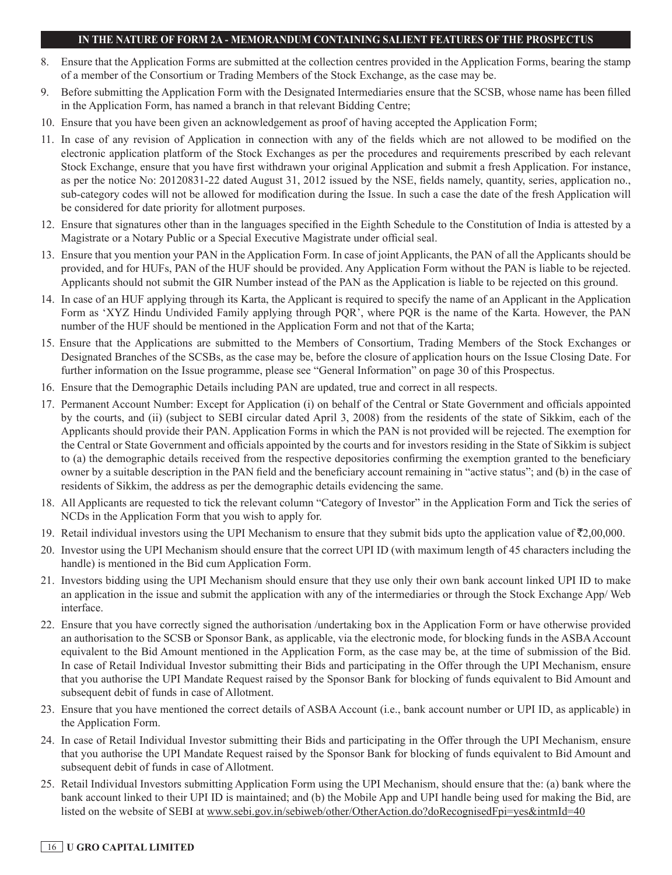- 8. Ensure that the Application Forms are submitted at the collection centres provided in the Application Forms, bearing the stamp of a member of the Consortium or Trading Members of the Stock Exchange, as the case may be.
- 9. Before submitting the Application Form with the Designated Intermediaries ensure that the SCSB, whose name has been filled in the Application Form, has named a branch in that relevant Bidding Centre;
- 10. Ensure that you have been given an acknowledgement as proof of having accepted the Application Form;
- 11. In case of any revision of Application in connection with any of the fields which are not allowed to be modified on the electronic application platform of the Stock Exchanges as per the procedures and requirements prescribed by each relevant Stock Exchange, ensure that you have first withdrawn your original Application and submit a fresh Application. For instance, as per the notice No: 20120831-22 dated August 31, 2012 issued by the NSE, fields namely, quantity, series, application no., sub-category codes will not be allowed for modification during the Issue. In such a case the date of the fresh Application will be considered for date priority for allotment purposes.
- 12. Ensure that signatures other than in the languages specified in the Eighth Schedule to the Constitution of India is attested by a Magistrate or a Notary Public or a Special Executive Magistrate under official seal.
- 13. Ensure that you mention your PAN in the Application Form. In case of joint Applicants, the PAN of all the Applicants should be provided, and for HUFs, PAN of the HUF should be provided. Any Application Form without the PAN is liable to be rejected. Applicants should not submit the GIR Number instead of the PAN as the Application is liable to be rejected on this ground.
- 14. In case of an HUF applying through its Karta, the Applicant is required to specify the name of an Applicant in the Application Form as 'XYZ Hindu Undivided Family applying through PQR', where PQR is the name of the Karta. However, the PAN number of the HUF should be mentioned in the Application Form and not that of the Karta;
- 15. Ensure that the Applications are submitted to the Members of Consortium, Trading Members of the Stock Exchanges or Designated Branches of the SCSBs, as the case may be, before the closure of application hours on the Issue Closing Date. For further information on the Issue programme, please see "General Information" on page 30 of this Prospectus.
- 16. Ensure that the Demographic Details including PAN are updated, true and correct in all respects.
- 17. Permanent Account Number: Except for Application (i) on behalf of the Central or State Government and officials appointed by the courts, and (ii) (subject to SEBI circular dated April 3, 2008) from the residents of the state of Sikkim, each of the Applicants should provide their PAN. Application Forms in which the PAN is not provided will be rejected. The exemption for the Central or State Government and officials appointed by the courts and for investors residing in the State of Sikkim is subject to (a) the demographic details received from the respective depositories confirming the exemption granted to the beneficiary owner by a suitable description in the PAN field and the beneficiary account remaining in "active status"; and (b) in the case of residents of Sikkim, the address as per the demographic details evidencing the same.
- 18. All Applicants are requested to tick the relevant column "Category of Investor" in the Application Form and Tick the series of NCDs in the Application Form that you wish to apply for.
- 19. Retail individual investors using the UPI Mechanism to ensure that they submit bids upto the application value of  $\bar{\mathcal{L}}2,00,000$ .
- 20. Investor using the UPI Mechanism should ensure that the correct UPI ID (with maximum length of 45 characters including the handle) is mentioned in the Bid cum Application Form.
- 21. Investors bidding using the UPI Mechanism should ensure that they use only their own bank account linked UPI ID to make an application in the issue and submit the application with any of the intermediaries or through the Stock Exchange App/ Web interface.
- 22. Ensure that you have correctly signed the authorisation /undertaking box in the Application Form or have otherwise provided an authorisation to the SCSB or Sponsor Bank, as applicable, via the electronic mode, for blocking funds in the ASBA Account equivalent to the Bid Amount mentioned in the Application Form, as the case may be, at the time of submission of the Bid. In case of Retail Individual Investor submitting their Bids and participating in the Offer through the UPI Mechanism, ensure that you authorise the UPI Mandate Request raised by the Sponsor Bank for blocking of funds equivalent to Bid Amount and subsequent debit of funds in case of Allotment.
- 23. Ensure that you have mentioned the correct details of ASBA Account (i.e., bank account number or UPI ID, as applicable) in the Application Form.
- 24. In case of Retail Individual Investor submitting their Bids and participating in the Offer through the UPI Mechanism, ensure that you authorise the UPI Mandate Request raised by the Sponsor Bank for blocking of funds equivalent to Bid Amount and subsequent debit of funds in case of Allotment.
- 25. Retail Individual Investors submitting Application Form using the UPI Mechanism, should ensure that the: (a) bank where the bank account linked to their UPI ID is maintained; and (b) the Mobile App and UPI handle being used for making the Bid, are listed on the website of SEBI at www.sebi.gov.in/sebiweb/other/OtherAction.do?doRecognisedFpi=yes&intmId=40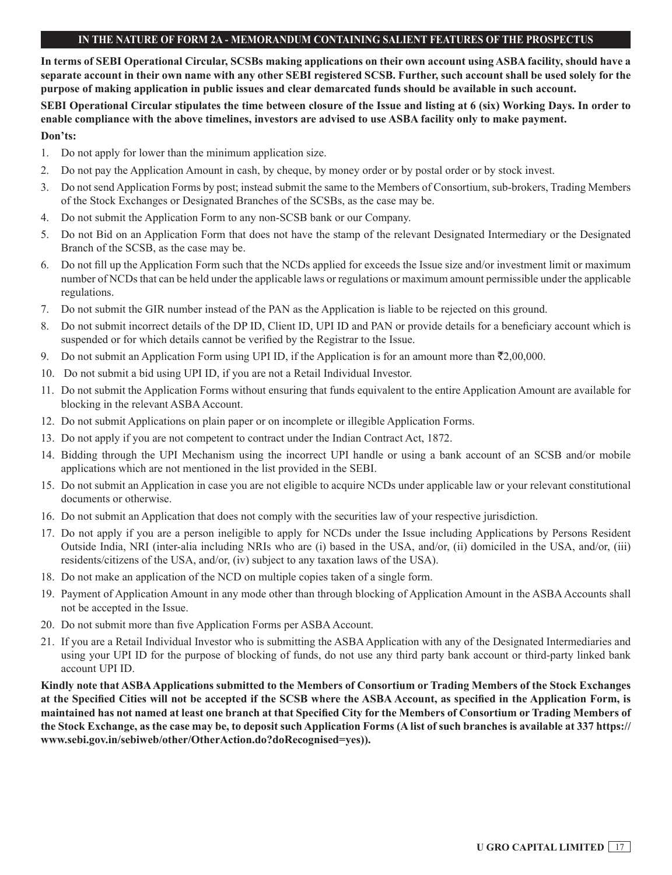**In terms of SEBI Operational Circular, SCSBs making applications on their own account using ASBA facility, should have a separate account in their own name with any other SEBI registered SCSB. Further, such account shall be used solely for the purpose of making application in public issues and clear demarcated funds should be available in such account.**

**SEBI Operational Circular stipulates the time between closure of the Issue and listing at 6 (six) Working Days. In order to enable compliance with the above timelines, investors are advised to use ASBA facility only to make payment.**

## **Don'ts:**

- 1. Do not apply for lower than the minimum application size.
- 2. Do not pay the Application Amount in cash, by cheque, by money order or by postal order or by stock invest.
- 3. Do not send Application Forms by post; instead submit the same to the Members of Consortium, sub-brokers, Trading Members of the Stock Exchanges or Designated Branches of the SCSBs, as the case may be.
- 4. Do not submit the Application Form to any non-SCSB bank or our Company.
- 5. Do not Bid on an Application Form that does not have the stamp of the relevant Designated Intermediary or the Designated Branch of the SCSB, as the case may be.
- 6. Do not fill up the Application Form such that the NCDs applied for exceeds the Issue size and/or investment limit or maximum number of NCDs that can be held under the applicable laws or regulations or maximum amount permissible under the applicable regulations.
- 7. Do not submit the GIR number instead of the PAN as the Application is liable to be rejected on this ground.
- 8. Do not submit incorrect details of the DP ID, Client ID, UPI ID and PAN or provide details for a beneficiary account which is suspended or for which details cannot be verified by the Registrar to the Issue.
- 9. Do not submit an Application Form using UPI ID, if the Application is for an amount more than  $\bar{\mathfrak{S}}2,00,000$ .
- 10. Do not submit a bid using UPI ID, if you are not a Retail Individual Investor.
- 11. Do not submit the Application Forms without ensuring that funds equivalent to the entire Application Amount are available for blocking in the relevant ASBA Account.
- 12. Do not submit Applications on plain paper or on incomplete or illegible Application Forms.
- 13. Do not apply if you are not competent to contract under the Indian Contract Act, 1872.
- 14. Bidding through the UPI Mechanism using the incorrect UPI handle or using a bank account of an SCSB and/or mobile applications which are not mentioned in the list provided in the SEBI.
- 15. Do not submit an Application in case you are not eligible to acquire NCDs under applicable law or your relevant constitutional documents or otherwise.
- 16. Do not submit an Application that does not comply with the securities law of your respective jurisdiction.
- 17. Do not apply if you are a person ineligible to apply for NCDs under the Issue including Applications by Persons Resident Outside India, NRI (inter-alia including NRIs who are (i) based in the USA, and/or, (ii) domiciled in the USA, and/or, (iii) residents/citizens of the USA, and/or, (iv) subject to any taxation laws of the USA).
- 18. Do not make an application of the NCD on multiple copies taken of a single form.
- 19. Payment of Application Amount in any mode other than through blocking of Application Amount in the ASBA Accounts shall not be accepted in the Issue.
- 20. Do not submit more than five Application Forms per ASBA Account.
- 21. If you are a Retail Individual Investor who is submitting the ASBA Application with any of the Designated Intermediaries and using your UPI ID for the purpose of blocking of funds, do not use any third party bank account or third-party linked bank account UPI ID.

**Kindly note that ASBA Applications submitted to the Members of Consortium or Trading Members of the Stock Exchanges at the Specified Cities will not be accepted if the SCSB where the ASBA Account, as specified in the Application Form, is maintained has not named at least one branch at that Specified City for the Members of Consortium or Trading Members of the Stock Exchange, as the case may be, to deposit such Application Forms (A list of such branches is available at 337 https:// www.sebi.gov.in/sebiweb/other/OtherAction.do?doRecognised=yes)).**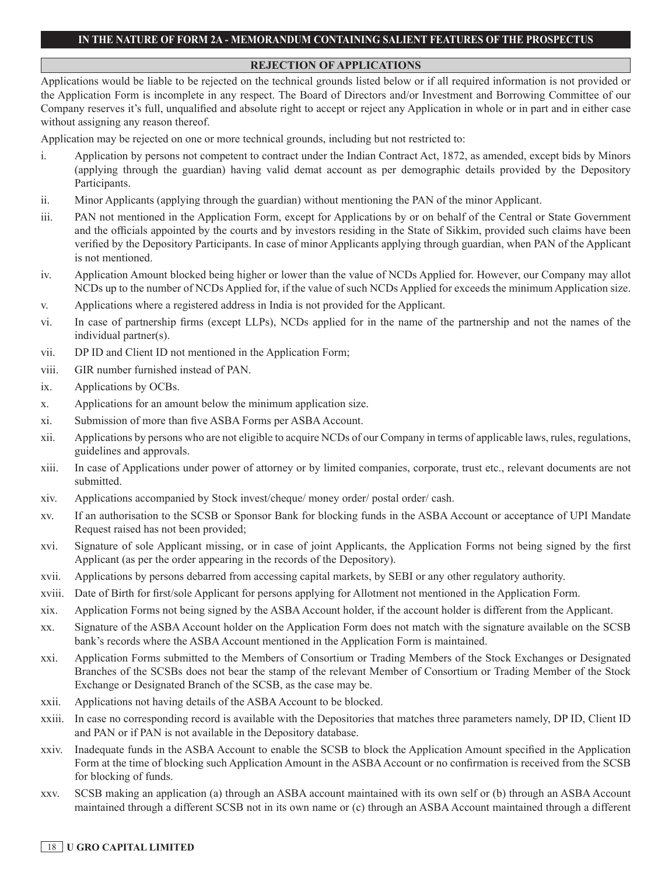### **REJECTION OF APPLICATIONS**

Applications would be liable to be rejected on the technical grounds listed below or if all required information is not provided or the Application Form is incomplete in any respect. The Board of Directors and/or Investment and Borrowing Committee of our Company reserves it's full, unqualified and absolute right to accept or reject any Application in whole or in part and in either case without assigning any reason thereof.

Application may be rejected on one or more technical grounds, including but not restricted to:

- i. Application by persons not competent to contract under the Indian Contract Act, 1872, as amended, except bids by Minors (applying through the guardian) having valid demat account as per demographic details provided by the Depository Participants.
- ii. Minor Applicants (applying through the guardian) without mentioning the PAN of the minor Applicant.
- iii. PAN not mentioned in the Application Form, except for Applications by or on behalf of the Central or State Government and the officials appointed by the courts and by investors residing in the State of Sikkim, provided such claims have been verified by the Depository Participants. In case of minor Applicants applying through guardian, when PAN of the Applicant is not mentioned.
- iv. Application Amount blocked being higher or lower than the value of NCDs Applied for. However, our Company may allot NCDs up to the number of NCDs Applied for, if the value of such NCDs Applied for exceeds the minimum Application size.
- v. Applications where a registered address in India is not provided for the Applicant.
- vi. In case of partnership firms (except LLPs), NCDs applied for in the name of the partnership and not the names of the individual partner(s).
- vii. DP ID and Client ID not mentioned in the Application Form;
- viii. GIR number furnished instead of PAN.
- ix. Applications by OCBs.
- x. Applications for an amount below the minimum application size.
- xi. Submission of more than five ASBA Forms per ASBA Account.
- xii. Applications by persons who are not eligible to acquire NCDs of our Company in terms of applicable laws, rules, regulations, guidelines and approvals.
- xiii. In case of Applications under power of attorney or by limited companies, corporate, trust etc., relevant documents are not submitted.
- xiv. Applications accompanied by Stock invest/cheque/ money order/ postal order/ cash.
- xv. If an authorisation to the SCSB or Sponsor Bank for blocking funds in the ASBA Account or acceptance of UPI Mandate Request raised has not been provided;
- xvi. Signature of sole Applicant missing, or in case of joint Applicants, the Application Forms not being signed by the first Applicant (as per the order appearing in the records of the Depository).
- xvii. Applications by persons debarred from accessing capital markets, by SEBI or any other regulatory authority.
- xviii. Date of Birth for first/sole Applicant for persons applying for Allotment not mentioned in the Application Form.
- xix. Application Forms not being signed by the ASBA Account holder, if the account holder is different from the Applicant.
- xx. Signature of the ASBA Account holder on the Application Form does not match with the signature available on the SCSB bank's records where the ASBA Account mentioned in the Application Form is maintained.
- xxi. Application Forms submitted to the Members of Consortium or Trading Members of the Stock Exchanges or Designated Branches of the SCSBs does not bear the stamp of the relevant Member of Consortium or Trading Member of the Stock Exchange or Designated Branch of the SCSB, as the case may be.
- xxii. Applications not having details of the ASBA Account to be blocked.
- xxiii. In case no corresponding record is available with the Depositories that matches three parameters namely, DP ID, Client ID and PAN or if PAN is not available in the Depository database.
- xxiv. Inadequate funds in the ASBA Account to enable the SCSB to block the Application Amount specified in the Application Form at the time of blocking such Application Amount in the ASBA Account or no confirmation is received from the SCSB for blocking of funds.
- xxv. SCSB making an application (a) through an ASBA account maintained with its own self or (b) through an ASBA Account maintained through a different SCSB not in its own name or (c) through an ASBA Account maintained through a different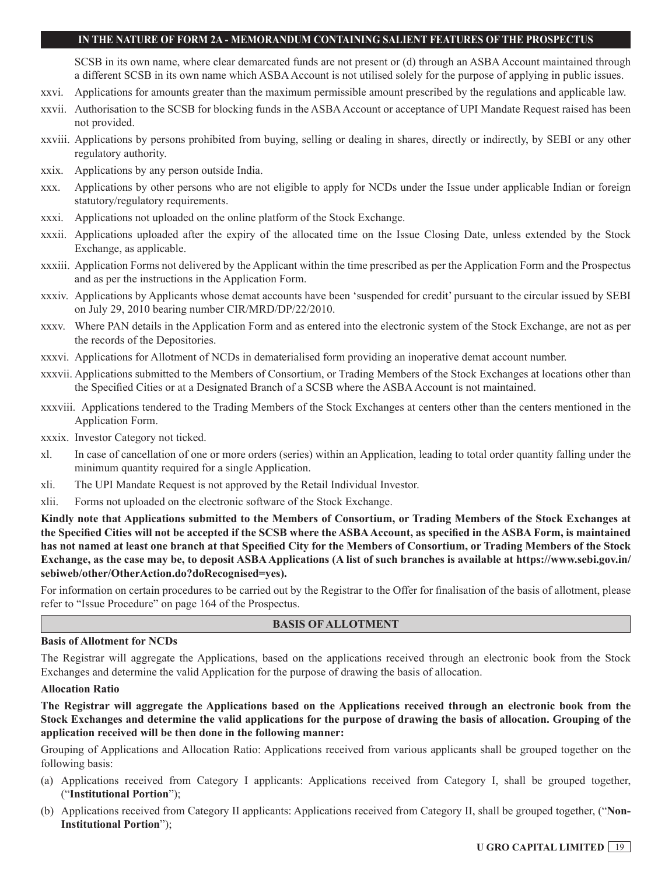SCSB in its own name, where clear demarcated funds are not present or (d) through an ASBA Account maintained through a different SCSB in its own name which ASBA Account is not utilised solely for the purpose of applying in public issues.

- xxvi. Applications for amounts greater than the maximum permissible amount prescribed by the regulations and applicable law.
- xxvii. Authorisation to the SCSB for blocking funds in the ASBA Account or acceptance of UPI Mandate Request raised has been not provided.
- xxviii. Applications by persons prohibited from buying, selling or dealing in shares, directly or indirectly, by SEBI or any other regulatory authority.
- xxix. Applications by any person outside India.
- xxx. Applications by other persons who are not eligible to apply for NCDs under the Issue under applicable Indian or foreign statutory/regulatory requirements.
- xxxi. Applications not uploaded on the online platform of the Stock Exchange.
- xxxii. Applications uploaded after the expiry of the allocated time on the Issue Closing Date, unless extended by the Stock Exchange, as applicable.
- xxxiii. Application Forms not delivered by the Applicant within the time prescribed as per the Application Form and the Prospectus and as per the instructions in the Application Form.
- xxxiv. Applications by Applicants whose demat accounts have been 'suspended for credit' pursuant to the circular issued by SEBI on July 29, 2010 bearing number CIR/MRD/DP/22/2010.
- xxxv. Where PAN details in the Application Form and as entered into the electronic system of the Stock Exchange, are not as per the records of the Depositories.
- xxxvi. Applications for Allotment of NCDs in dematerialised form providing an inoperative demat account number.
- xxxvii. Applications submitted to the Members of Consortium, or Trading Members of the Stock Exchanges at locations other than the Specified Cities or at a Designated Branch of a SCSB where the ASBA Account is not maintained.
- xxxviii. Applications tendered to the Trading Members of the Stock Exchanges at centers other than the centers mentioned in the Application Form.
- xxxix. Investor Category not ticked.
- xl. In case of cancellation of one or more orders (series) within an Application, leading to total order quantity falling under the minimum quantity required for a single Application.
- xli. The UPI Mandate Request is not approved by the Retail Individual Investor.
- xlii. Forms not uploaded on the electronic software of the Stock Exchange.

**Kindly note that Applications submitted to the Members of Consortium, or Trading Members of the Stock Exchanges at the Specified Cities will not be accepted if the SCSB where the ASBA Account, as specified in the ASBA Form, is maintained has not named at least one branch at that Specified City for the Members of Consortium, or Trading Members of the Stock Exchange, as the case may be, to deposit ASBA Applications (A list of such branches is available at https://www.sebi.gov.in/ sebiweb/other/OtherAction.do?doRecognised=yes).**

For information on certain procedures to be carried out by the Registrar to the Offer for finalisation of the basis of allotment, please refer to "Issue Procedure" on page 164 of the Prospectus.

### **BASIS OF ALLOTMENT**

#### **Basis of Allotment for NCDs**

The Registrar will aggregate the Applications, based on the applications received through an electronic book from the Stock Exchanges and determine the valid Application for the purpose of drawing the basis of allocation.

#### **Allocation Ratio**

**The Registrar will aggregate the Applications based on the Applications received through an electronic book from the Stock Exchanges and determine the valid applications for the purpose of drawing the basis of allocation. Grouping of the application received will be then done in the following manner:**

Grouping of Applications and Allocation Ratio: Applications received from various applicants shall be grouped together on the following basis:

- (a) Applications received from Category I applicants: Applications received from Category I, shall be grouped together, ("**Institutional Portion**");
- (b) Applications received from Category II applicants: Applications received from Category II, shall be grouped together, ("**Non-Institutional Portion**");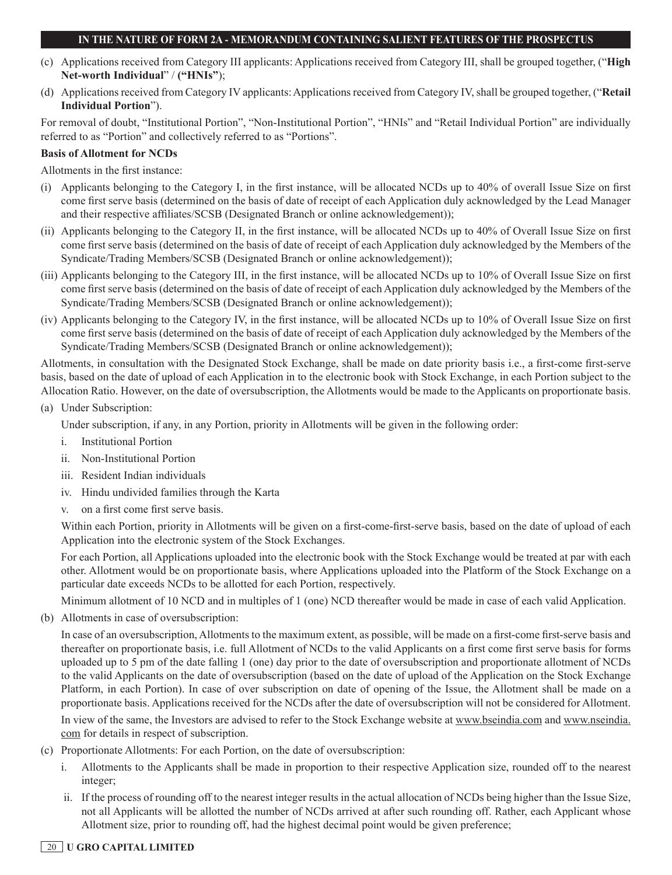- (c) Applications received from Category III applicants: Applications received from Category III, shall be grouped together, ("**High Net-worth Individual**" / **("HNIs"**);
- (d) Applications received from Category IV applicants: Applications received from Category IV, shall be grouped together, ("**Retail Individual Portion**").

For removal of doubt, "Institutional Portion", "Non-Institutional Portion", "HNIs" and "Retail Individual Portion" are individually referred to as "Portion" and collectively referred to as "Portions".

### **Basis of Allotment for NCDs**

Allotments in the first instance:

- (i) Applicants belonging to the Category I, in the first instance, will be allocated NCDs up to 40% of overall Issue Size on first come first serve basis (determined on the basis of date of receipt of each Application duly acknowledged by the Lead Manager and their respective affiliates/SCSB (Designated Branch or online acknowledgement));
- (ii) Applicants belonging to the Category II, in the first instance, will be allocated NCDs up to 40% of Overall Issue Size on first come first serve basis (determined on the basis of date of receipt of each Application duly acknowledged by the Members of the Syndicate/Trading Members/SCSB (Designated Branch or online acknowledgement));
- (iii) Applicants belonging to the Category III, in the first instance, will be allocated NCDs up to 10% of Overall Issue Size on first come first serve basis (determined on the basis of date of receipt of each Application duly acknowledged by the Members of the Syndicate/Trading Members/SCSB (Designated Branch or online acknowledgement));
- (iv) Applicants belonging to the Category IV, in the first instance, will be allocated NCDs up to 10% of Overall Issue Size on first come first serve basis (determined on the basis of date of receipt of each Application duly acknowledged by the Members of the Syndicate/Trading Members/SCSB (Designated Branch or online acknowledgement));

Allotments, in consultation with the Designated Stock Exchange, shall be made on date priority basis i.e., a first-come first-serve basis, based on the date of upload of each Application in to the electronic book with Stock Exchange, in each Portion subject to the Allocation Ratio. However, on the date of oversubscription, the Allotments would be made to the Applicants on proportionate basis.

(a) Under Subscription:

Under subscription, if any, in any Portion, priority in Allotments will be given in the following order:

- i. Institutional Portion
- ii. Non-Institutional Portion
- iii. Resident Indian individuals
- iv. Hindu undivided families through the Karta
- v. on a first come first serve basis.

Within each Portion, priority in Allotments will be given on a first-come-first-serve basis, based on the date of upload of each Application into the electronic system of the Stock Exchanges.

For each Portion, all Applications uploaded into the electronic book with the Stock Exchange would be treated at par with each other. Allotment would be on proportionate basis, where Applications uploaded into the Platform of the Stock Exchange on a particular date exceeds NCDs to be allotted for each Portion, respectively.

Minimum allotment of 10 NCD and in multiples of 1 (one) NCD thereafter would be made in case of each valid Application.

(b) Allotments in case of oversubscription:

In case of an oversubscription, Allotments to the maximum extent, as possible, will be made on a first-come first-serve basis and thereafter on proportionate basis, i.e. full Allotment of NCDs to the valid Applicants on a first come first serve basis for forms uploaded up to 5 pm of the date falling 1 (one) day prior to the date of oversubscription and proportionate allotment of NCDs to the valid Applicants on the date of oversubscription (based on the date of upload of the Application on the Stock Exchange Platform, in each Portion). In case of over subscription on date of opening of the Issue, the Allotment shall be made on a proportionate basis. Applications received for the NCDs after the date of oversubscription will not be considered for Allotment.

In view of the same, the Investors are advised to refer to the Stock Exchange website at www.bseindia.com and www.nseindia. com for details in respect of subscription.

- (c) Proportionate Allotments: For each Portion, on the date of oversubscription:
	- i. Allotments to the Applicants shall be made in proportion to their respective Application size, rounded off to the nearest integer;
	- ii. If the process of rounding off to the nearest integer results in the actual allocation of NCDs being higher than the Issue Size, not all Applicants will be allotted the number of NCDs arrived at after such rounding off. Rather, each Applicant whose Allotment size, prior to rounding off, had the highest decimal point would be given preference;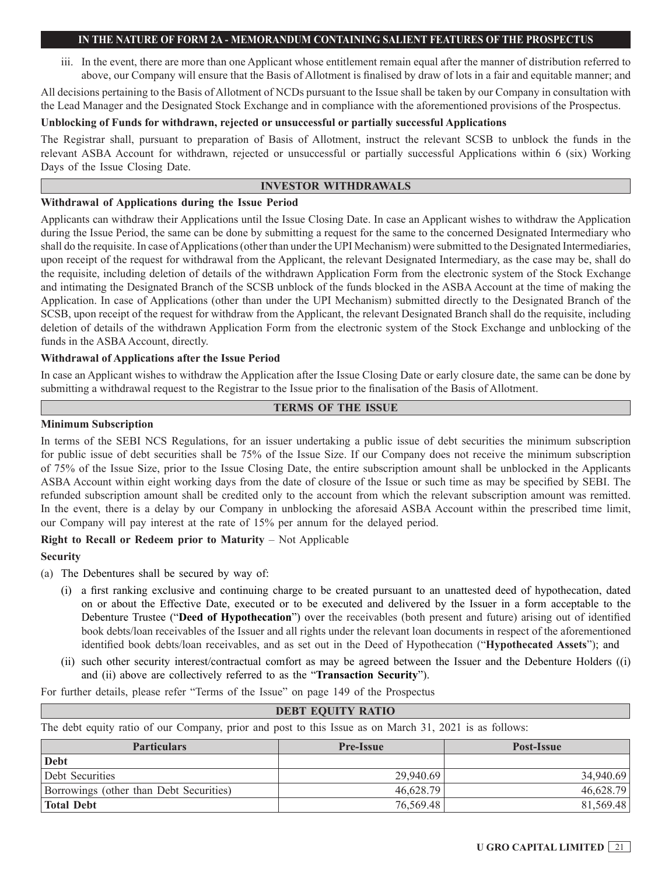iii. In the event, there are more than one Applicant whose entitlement remain equal after the manner of distribution referred to above, our Company will ensure that the Basis of Allotment is finalised by draw of lots in a fair and equitable manner; and

All decisions pertaining to the Basis of Allotment of NCDs pursuant to the Issue shall be taken by our Company in consultation with the Lead Manager and the Designated Stock Exchange and in compliance with the aforementioned provisions of the Prospectus.

#### **Unblocking of Funds for withdrawn, rejected or unsuccessful or partially successful Applications**

The Registrar shall, pursuant to preparation of Basis of Allotment, instruct the relevant SCSB to unblock the funds in the relevant ASBA Account for withdrawn, rejected or unsuccessful or partially successful Applications within 6 (six) Working Days of the Issue Closing Date.

### **INVESTOR WITHDRAWALS**

#### **Withdrawal of Applications during the Issue Period**

Applicants can withdraw their Applications until the Issue Closing Date. In case an Applicant wishes to withdraw the Application during the Issue Period, the same can be done by submitting a request for the same to the concerned Designated Intermediary who shall do the requisite. In case of Applications (other than under the UPI Mechanism) were submitted to the Designated Intermediaries, upon receipt of the request for withdrawal from the Applicant, the relevant Designated Intermediary, as the case may be, shall do the requisite, including deletion of details of the withdrawn Application Form from the electronic system of the Stock Exchange and intimating the Designated Branch of the SCSB unblock of the funds blocked in the ASBA Account at the time of making the Application. In case of Applications (other than under the UPI Mechanism) submitted directly to the Designated Branch of the SCSB, upon receipt of the request for withdraw from the Applicant, the relevant Designated Branch shall do the requisite, including deletion of details of the withdrawn Application Form from the electronic system of the Stock Exchange and unblocking of the funds in the ASBA Account, directly.

### **Withdrawal of Applications after the Issue Period**

In case an Applicant wishes to withdraw the Application after the Issue Closing Date or early closure date, the same can be done by submitting a withdrawal request to the Registrar to the Issue prior to the finalisation of the Basis of Allotment.

#### **TERMS OF THE ISSUE**

#### **Minimum Subscription**

In terms of the SEBI NCS Regulations, for an issuer undertaking a public issue of debt securities the minimum subscription for public issue of debt securities shall be 75% of the Issue Size. If our Company does not receive the minimum subscription of 75% of the Issue Size, prior to the Issue Closing Date, the entire subscription amount shall be unblocked in the Applicants ASBA Account within eight working days from the date of closure of the Issue or such time as may be specified by SEBI. The refunded subscription amount shall be credited only to the account from which the relevant subscription amount was remitted. In the event, there is a delay by our Company in unblocking the aforesaid ASBA Account within the prescribed time limit, our Company will pay interest at the rate of 15% per annum for the delayed period.

### **Right to Recall or Redeem prior to Maturity** – Not Applicable

### **Security**

- (a) The Debentures shall be secured by way of:
	- (i) a first ranking exclusive and continuing charge to be created pursuant to an unattested deed of hypothecation, dated on or about the Effective Date, executed or to be executed and delivered by the Issuer in a form acceptable to the Debenture Trustee ("**Deed of Hypothecation**") over the receivables (both present and future) arising out of identified book debts/loan receivables of the Issuer and all rights under the relevant loan documents in respect of the aforementioned identified book debts/loan receivables, and as set out in the Deed of Hypothecation ("**Hypothecated Assets**"); and
	- (ii) such other security interest/contractual comfort as may be agreed between the Issuer and the Debenture Holders ((i) and (ii) above are collectively referred to as the "**Transaction Security**").

For further details, please refer "Terms of the Issue" on page 149 of the Prospectus

| <b>DEBT EQUITY RATIO</b>                                                                               |           |           |  |  |
|--------------------------------------------------------------------------------------------------------|-----------|-----------|--|--|
| The debt equity ratio of our Company, prior and post to this Issue as on March 31, 2021 is as follows: |           |           |  |  |
| <b>Particulars</b><br><b>Pre-Issue</b><br>Post-Issue                                                   |           |           |  |  |
| Debt                                                                                                   |           |           |  |  |
| Debt Securities                                                                                        | 29,940.69 | 34,940.69 |  |  |
| Borrowings (other than Debt Securities)                                                                | 46,628.79 | 46,628.79 |  |  |
| <b>Total Debt</b>                                                                                      | 76,569.48 | 81,569.48 |  |  |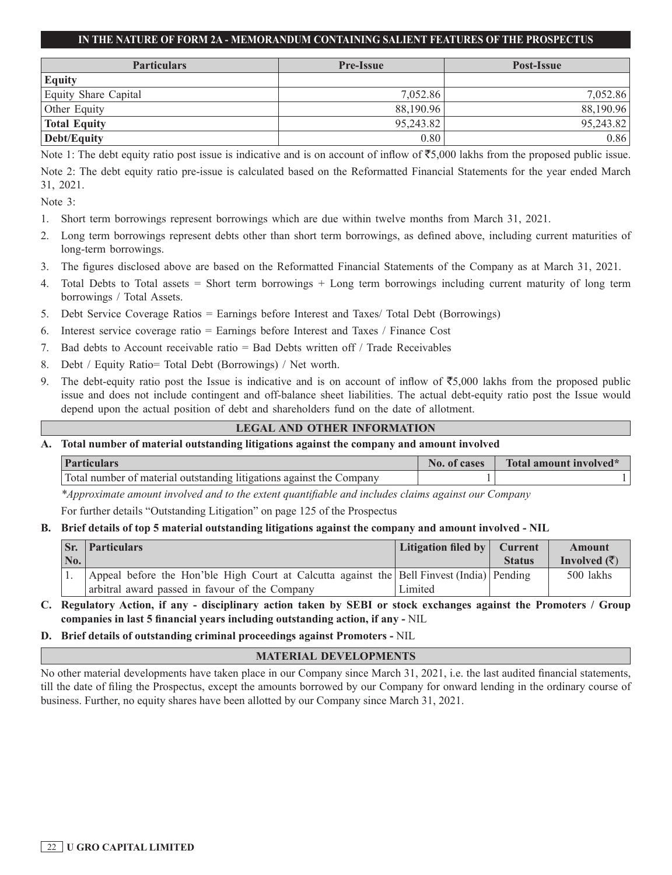| <b>Particulars</b>   | <b>Pre-Issue</b> | Post-Issue |
|----------------------|------------------|------------|
| <b>Equity</b>        |                  |            |
| Equity Share Capital | 7.052.86         | 7,052.86   |
| Other Equity         | 88,190.96        | 88,190.96  |
| <b>Total Equity</b>  | 95,243.82        | 95,243.82  |
| Debt/Equity          | 0.80             | 0.86       |

Note 1: The debt equity ratio post issue is indicative and is on account of inflow of  $\overline{5}5,000$  lakhs from the proposed public issue.

Note 2: The debt equity ratio pre-issue is calculated based on the Reformatted Financial Statements for the year ended March 31, 2021.

Note 3:

- 1. Short term borrowings represent borrowings which are due within twelve months from March 31, 2021.
- 2. Long term borrowings represent debts other than short term borrowings, as defined above, including current maturities of long-term borrowings.
- 3. The figures disclosed above are based on the Reformatted Financial Statements of the Company as at March 31, 2021.
- 4. Total Debts to Total assets = Short term borrowings + Long term borrowings including current maturity of long term borrowings / Total Assets.
- 5. Debt Service Coverage Ratios = Earnings before Interest and Taxes/ Total Debt (Borrowings)
- 6. Interest service coverage ratio = Earnings before Interest and Taxes / Finance Cost
- 7. Bad debts to Account receivable ratio = Bad Debts written off / Trade Receivables
- 8. Debt / Equity Ratio= Total Debt (Borrowings) / Net worth.
- 9. The debt-equity ratio post the Issue is indicative and is on account of inflow of  $\overline{55,000}$  lakhs from the proposed public issue and does not include contingent and off-balance sheet liabilities. The actual debt-equity ratio post the Issue would depend upon the actual position of debt and shareholders fund on the date of allotment.

## **LEGAL AND OTHER INFORMATION**

**A. Total number of material outstanding litigations against the company and amount involved**

| <b>Particulars</b>                                                   | No. of<br>cases | Total amount involved* |
|----------------------------------------------------------------------|-----------------|------------------------|
| Total number of material outstanding litigations against the Company |                 |                        |

*\*Approximate amount involved and to the extent quantifiable and includes claims against our Company*

For further details "Outstanding Litigation" on page 125 of the Prospectus

### **B. Brief details of top 5 material outstanding litigations against the company and amount involved - NIL**

| Sr. | <b>Particulars</b>                                                                        | Litigation filed by $\vert$ Current |               | <b>Amount</b>            |
|-----|-------------------------------------------------------------------------------------------|-------------------------------------|---------------|--------------------------|
| No. |                                                                                           |                                     | <b>Status</b> | Involved $(\bar{\zeta})$ |
|     | Appeal before the Hon'ble High Court at Calcutta against the Bell Finvest (India) Pending |                                     |               | 500 lakhs                |
|     | arbitral award passed in favour of the Company                                            | Limited                             |               |                          |

- **C. Regulatory Action, if any disciplinary action taken by SEBI or stock exchanges against the Promoters / Group companies in last 5 financial years including outstanding action, if any -** NIL
- **D. Brief details of outstanding criminal proceedings against Promoters -** NIL

## **MATERIAL DEVELOPMENTS**

No other material developments have taken place in our Company since March 31, 2021, i.e. the last audited financial statements, till the date of filing the Prospectus, except the amounts borrowed by our Company for onward lending in the ordinary course of business. Further, no equity shares have been allotted by our Company since March 31, 2021.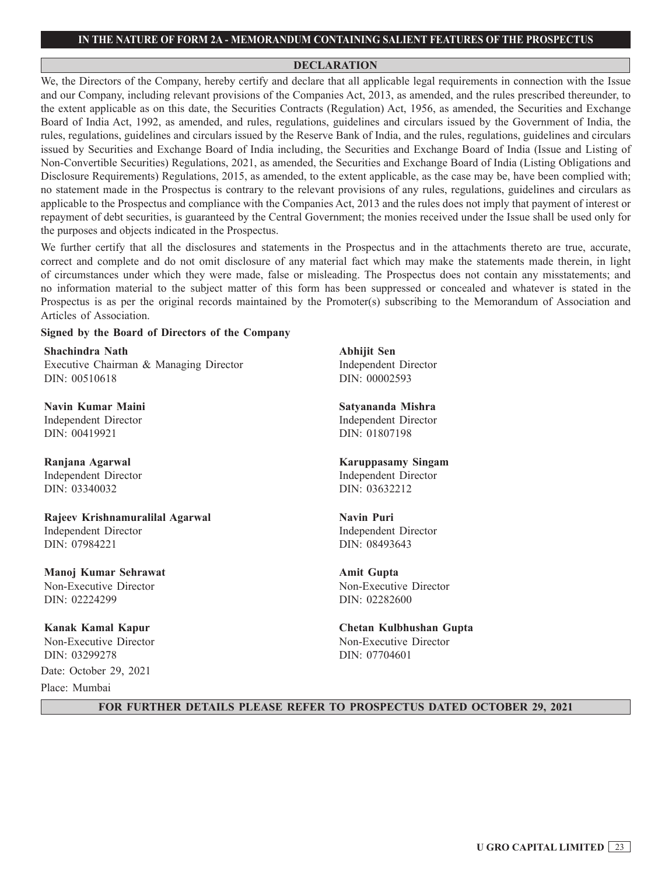#### **DECLARATION**

We, the Directors of the Company, hereby certify and declare that all applicable legal requirements in connection with the Issue and our Company, including relevant provisions of the Companies Act, 2013, as amended, and the rules prescribed thereunder, to the extent applicable as on this date, the Securities Contracts (Regulation) Act, 1956, as amended, the Securities and Exchange Board of India Act, 1992, as amended, and rules, regulations, guidelines and circulars issued by the Government of India, the rules, regulations, guidelines and circulars issued by the Reserve Bank of India, and the rules, regulations, guidelines and circulars issued by Securities and Exchange Board of India including, the Securities and Exchange Board of India (Issue and Listing of Non-Convertible Securities) Regulations, 2021, as amended, the Securities and Exchange Board of India (Listing Obligations and Disclosure Requirements) Regulations, 2015, as amended, to the extent applicable, as the case may be, have been complied with; no statement made in the Prospectus is contrary to the relevant provisions of any rules, regulations, guidelines and circulars as applicable to the Prospectus and compliance with the Companies Act, 2013 and the rules does not imply that payment of interest or repayment of debt securities, is guaranteed by the Central Government; the monies received under the Issue shall be used only for the purposes and objects indicated in the Prospectus.

We further certify that all the disclosures and statements in the Prospectus and in the attachments thereto are true, accurate, correct and complete and do not omit disclosure of any material fact which may make the statements made therein, in light of circumstances under which they were made, false or misleading. The Prospectus does not contain any misstatements; and no information material to the subject matter of this form has been suppressed or concealed and whatever is stated in the Prospectus is as per the original records maintained by the Promoter(s) subscribing to the Memorandum of Association and Articles of Association.

#### **Signed by the Board of Directors of the Company**

**Shachindra Nath** Executive Chairman & Managing Director DIN: 00510618

**Navin Kumar Maini** Independent Director DIN: 00419921

**Ranjana Agarwal** Independent Director DIN: 03340032

### **Rajeev Krishnamuralilal Agarwal** Independent Director DIN: 07984221

**Manoj Kumar Sehrawat** Non-Executive Director DIN: 02224299

**Kanak Kamal Kapur** Non-Executive Director DIN: 03299278 Date: October 29, 2021

Place: Mumbai

**Abhijit Sen** Independent Director DIN: 00002593

**Satyananda Mishra** Independent Director DIN: 01807198

#### **Karuppasamy Singam** Independent Director DIN: 03632212

**Navin Puri** Independent Director DIN: 08493643

**Amit Gupta** Non-Executive Director DIN: 02282600

**Chetan Kulbhushan Gupta** Non-Executive Director DIN: 07704601

### **FOR FURTHER DETAILS PLEASE REFER TO PROSPECTUS DATED OCTOBER 29, 2021**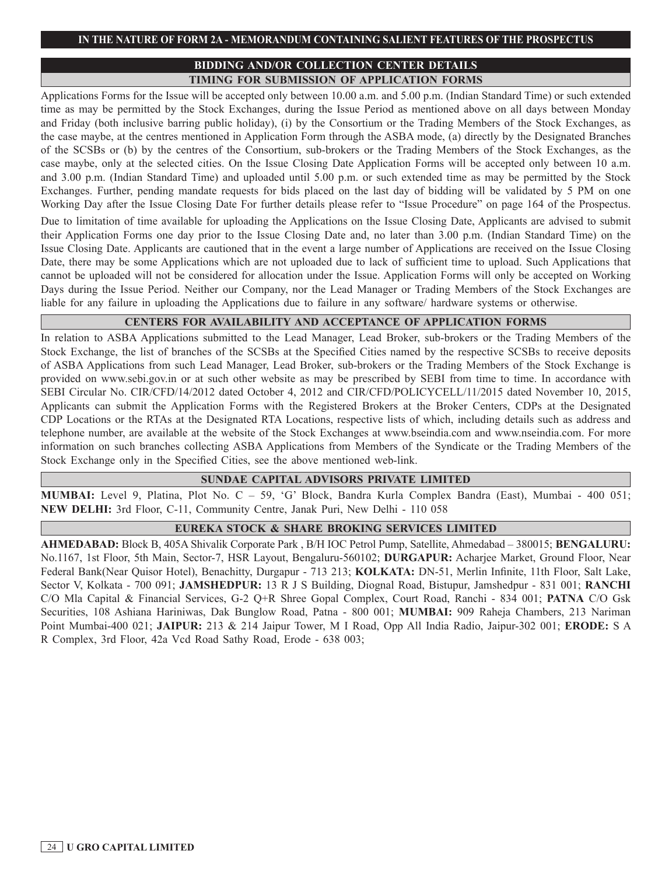## **BIDDING AND/OR COLLECTION CENTER DETAILS TIMING FOR SUBMISSION OF APPLICATION FORMS**

Applications Forms for the Issue will be accepted only between 10.00 a.m. and 5.00 p.m. (Indian Standard Time) or such extended time as may be permitted by the Stock Exchanges, during the Issue Period as mentioned above on all days between Monday and Friday (both inclusive barring public holiday), (i) by the Consortium or the Trading Members of the Stock Exchanges, as the case maybe, at the centres mentioned in Application Form through the ASBA mode, (a) directly by the Designated Branches of the SCSBs or (b) by the centres of the Consortium, sub-brokers or the Trading Members of the Stock Exchanges, as the case maybe, only at the selected cities. On the Issue Closing Date Application Forms will be accepted only between 10 a.m. and 3.00 p.m. (Indian Standard Time) and uploaded until 5.00 p.m. or such extended time as may be permitted by the Stock Exchanges. Further, pending mandate requests for bids placed on the last day of bidding will be validated by 5 PM on one Working Day after the Issue Closing Date For further details please refer to "Issue Procedure" on page 164 of the Prospectus.

Due to limitation of time available for uploading the Applications on the Issue Closing Date, Applicants are advised to submit their Application Forms one day prior to the Issue Closing Date and, no later than 3.00 p.m. (Indian Standard Time) on the Issue Closing Date. Applicants are cautioned that in the event a large number of Applications are received on the Issue Closing Date, there may be some Applications which are not uploaded due to lack of sufficient time to upload. Such Applications that cannot be uploaded will not be considered for allocation under the Issue. Application Forms will only be accepted on Working Days during the Issue Period. Neither our Company, nor the Lead Manager or Trading Members of the Stock Exchanges are liable for any failure in uploading the Applications due to failure in any software/ hardware systems or otherwise.

## **CENTERS FOR AVAILABILITY AND ACCEPTANCE OF APPLICATION FORMS**

In relation to ASBA Applications submitted to the Lead Manager, Lead Broker, sub-brokers or the Trading Members of the Stock Exchange, the list of branches of the SCSBs at the Specified Cities named by the respective SCSBs to receive deposits of ASBA Applications from such Lead Manager, Lead Broker, sub-brokers or the Trading Members of the Stock Exchange is provided on www.sebi.gov.in or at such other website as may be prescribed by SEBI from time to time. In accordance with SEBI Circular No. CIR/CFD/14/2012 dated October 4, 2012 and CIR/CFD/POLICYCELL/11/2015 dated November 10, 2015, Applicants can submit the Application Forms with the Registered Brokers at the Broker Centers, CDPs at the Designated CDP Locations or the RTAs at the Designated RTA Locations, respective lists of which, including details such as address and telephone number, are available at the website of the Stock Exchanges at www.bseindia.com and www.nseindia.com. For more information on such branches collecting ASBA Applications from Members of the Syndicate or the Trading Members of the Stock Exchange only in the Specified Cities, see the above mentioned web-link.

### **SUNDAE CAPITAL ADVISORS PRIVATE LIMITED**

**MUMBAI:** Level 9, Platina, Plot No. C – 59, 'G' Block, Bandra Kurla Complex Bandra (East), Mumbai - 400 051; **NEW DELHI:** 3rd Floor, C-11, Community Centre, Janak Puri, New Delhi - 110 058

## **EUREKA STOCK & SHARE BROKING SERVICES LIMITED**

**AHMEDABAD:** Block B, 405A Shivalik Corporate Park , B/H IOC Petrol Pump, Satellite, Ahmedabad – 380015; **BENGALURU:**  No.1167, 1st Floor, 5th Main, Sector-7, HSR Layout, Bengaluru-560102; **DURGAPUR:** Acharjee Market, Ground Floor, Near Federal Bank(Near Quisor Hotel), Benachitty, Durgapur - 713 213; **KOLKATA:** DN-51, Merlin Infinite, 11th Floor, Salt Lake, Sector V, Kolkata - 700 091; **JAMSHEDPUR:** 13 R J S Building, Diognal Road, Bistupur, Jamshedpur - 831 001; **RANCHI**  C/O Mla Capital & Financial Services, G-2 Q+R Shree Gopal Complex, Court Road, Ranchi - 834 001; **PATNA** C/O Gsk Securities, 108 Ashiana Hariniwas, Dak Bunglow Road, Patna - 800 001; **MUMBAI:** 909 Raheja Chambers, 213 Nariman Point Mumbai-400 021; **JAIPUR:** 213 & 214 Jaipur Tower, M I Road, Opp All India Radio, Jaipur-302 001; **ERODE:** S A R Complex, 3rd Floor, 42a Vcd Road Sathy Road, Erode - 638 003;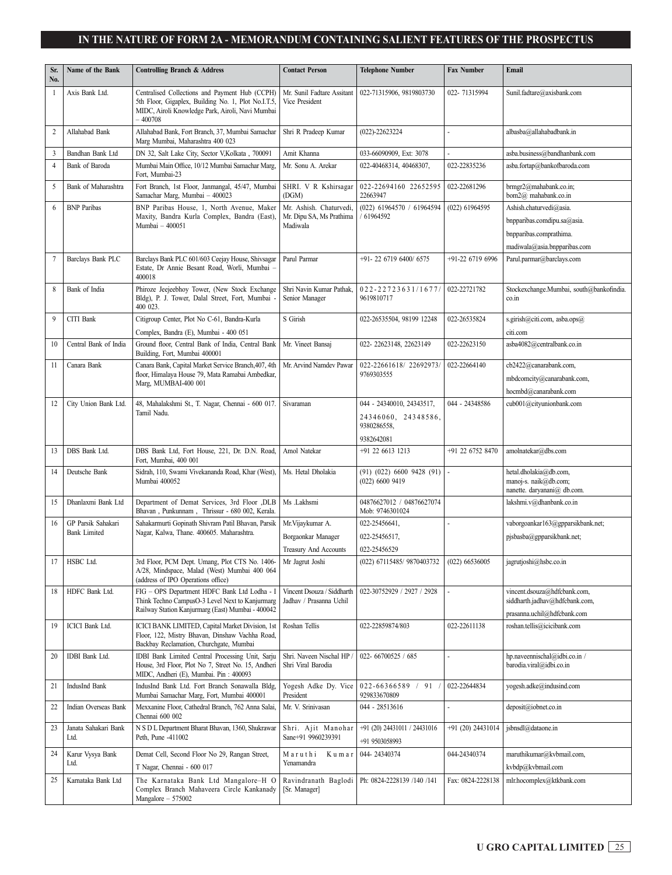#### **IN THE NATURE OF FORM 2A - MEMORANDUM CONTAINING SALIENT FEATURES OF THE PROSPECTUS IN THE NATURE OF FORM 2A - MEMORANDUM CONTAINING SALIENT FEATURES OF THE PROSPECTUS LIST OF SELF CERTIFIED SYNDICATE BANKS (SCSBs) UNDER THE ASBA PROCESS**

| Sr.<br>No.     | Name of the Bank             | <b>Controlling Branch &amp; Address</b>                                                                                                                                | <b>Contact Person</b>                                           | <b>Telephone Number</b>                                                       | <b>Fax Number</b> | Email                                                                                                             |
|----------------|------------------------------|------------------------------------------------------------------------------------------------------------------------------------------------------------------------|-----------------------------------------------------------------|-------------------------------------------------------------------------------|-------------------|-------------------------------------------------------------------------------------------------------------------|
| 1              | Axis Bank Ltd.               | Centralised Collections and Payment Hub (CCPH)<br>5th Floor, Gigaplex, Building No. 1, Plot No.I.T.5,<br>MIDC, Airoli Knowledge Park, Airoli, Navi Mumbai<br>$-400708$ | Mr. Sunil Fadtare Assitant<br>Vice President                    | 022-71315906, 9819803730                                                      | 022-71315994      | Sunil.fadtare@axisbank.com                                                                                        |
| $\mathfrak{2}$ | Allahabad Bank               | Allahabad Bank, Fort Branch, 37, Mumbai Samachar<br>Marg Mumbai, Maharashtra 400 023                                                                                   | Shri R Pradeep Kumar                                            | $(022) - 22623224$                                                            |                   | albasba@allahabadbank.in                                                                                          |
| 3              | Bandhan Bank Ltd             | DN 32, Salt Lake City, Sector V, Kolkata, 700091                                                                                                                       | Amit Khanna                                                     | 033-66090909, Ext: 3078                                                       |                   | asba.business@bandhanbank.com                                                                                     |
| $\overline{4}$ | Bank of Baroda               | Mumbai Main Office, 10/12 Mumbai Samachar Marg,<br>Fort, Mumbai-23                                                                                                     | Mr. Sonu A. Arekar                                              | 022-40468314, 40468307,                                                       | 022-22835236      | asba.fortap@bankofbaroda.com                                                                                      |
| 5              | Bank of Maharashtra          | Fort Branch, 1st Floor, Janmangal, 45/47, Mumbai<br>Samachar Marg, Mumbai - 400023                                                                                     | SHRI. V R Kshirsagar<br>(DGM)                                   | 022-22694160 22652595<br>22663947                                             | 022-22681296      | brmgr2@mahabank.co.in;<br>bom2@ mahabank.co.in                                                                    |
| 6              | <b>BNP</b> Paribas           | BNP Paribas House, 1, North Avenue, Maker<br>Maxity, Bandra Kurla Complex, Bandra (East),<br>Mumbai - 400051                                                           | Mr. Ashish. Chaturvedi,<br>Mr. Dipu SA, Ms Prathima<br>Madiwala | (022) 61964570 / 61964594<br>61964592                                         | (022) 61964595    | Ashish.chaturvedi@asia.<br>bnpparibas.comdipu.sa@asia.<br>bnpparibas.comprathima.<br>madiwala@asia.bnpparibas.com |
| $\tau$         | Barclays Bank PLC            | Barclays Bank PLC 601/603 Ceejay House, Shivsagar<br>Estate, Dr Annie Besant Road, Worli, Mumbai -<br>400018                                                           | Parul Parmar                                                    | +91-22 6719 6400/6575                                                         | +91-22 6719 6996  | Parul.parmar@barclays.com                                                                                         |
| 8              | Bank of India                | Phiroze Jeejeebhoy Tower, (New Stock Exchange<br>Bldg), P. J. Tower, Dalal Street, Fort, Mumbai<br>400 023.                                                            | Shri Navin Kumar Pathak,<br>Senior Manager                      | 022-22723631/1677<br>9619810717                                               | 022-22721782      | Stockexchange.Mumbai, south@bankofindia.<br>co.in                                                                 |
| 9              | CITI Bank                    | Citigroup Center, Plot No C-61, Bandra-Kurla<br>Complex, Bandra (E), Mumbai - 400 051                                                                                  | S Girish                                                        | 022-26535504, 98199 12248                                                     | 022-26535824      | s.girish@citi.com, asba.ops@<br>citi.com                                                                          |
| 10             | Central Bank of India        | Ground floor, Central Bank of India, Central Bank<br>Building, Fort, Mumbai 400001                                                                                     | Mr. Vineet Bansaj                                               | 022-22623148, 22623149                                                        | 022-22623150      | asba4082@centralbank.co.in                                                                                        |
| 11             | Canara Bank                  | Canara Bank, Capital Market Service Branch, 407, 4th<br>floor, Himalaya House 79, Mata Ramabai Ambedkar,<br>Marg, MUMBAI-400 001                                       | Mr. Arvind Namdev Pawar                                         | 022-22661618/22692973/<br>9769303555                                          | 022-22664140      | cb2422@canarabank.com,<br>mbdcomcity@canarabank.com,<br>hocmbd@canarabank.com                                     |
| 12             | City Union Bank Ltd.         | 48, Mahalakshmi St., T. Nagar, Chennai - 600 017.<br>Tamil Nadu.                                                                                                       | Sivaraman                                                       | 044 - 24340010, 24343517,<br>24346060, 24348586,<br>9380286558,<br>9382642081 | 044 - 24348586    | cub001@cityunionbank.com                                                                                          |
| 13             | DBS Bank Ltd.                | DBS Bank Ltd, Fort House, 221, Dr. D.N. Road,<br>Fort, Mumbai, 400 001                                                                                                 | Amol Natekar                                                    | +91 22 6613 1213                                                              | +91 22 6752 8470  | amolnatekar@dbs.com                                                                                               |
| 14             | Deutsche Bank                | Sidrah, 110, Swami Vivekananda Road, Khar (West),<br>Mumbai 400052                                                                                                     | Ms. Hetal Dholakia                                              | $(91)$ $(022)$ 6600 9428 $(91)$<br>$(022)$ 6600 9419                          |                   | hetal.dholakia@db.com,<br>manoj-s. naik@db.com;<br>nanette. daryanani@ db.com.                                    |
| 15             | Dhanlaxmi Bank Ltd           | Department of Demat Services, 3rd Floor ,DLB<br>Bhavan, Punkunnam, Thrissur - 680 002, Kerala.                                                                         | Ms .Lakhsmi                                                     | 04876627012 / 04876627074<br>Mob: 9746301024                                  |                   | lakshmi.v@dhanbank.co.in                                                                                          |
| 16             | GP Parsik Sahakari           | Sahakarmurti Gopinath Shivram Patil Bhavan, Parsik                                                                                                                     | Mr. Vijaykumar A.                                               | 022-25456641,                                                                 |                   | vaborgoankar163@gpparsikbank.net;                                                                                 |
|                | <b>Bank Limited</b>          | Nagar, Kalwa, Thane. 400605. Maharashtra.                                                                                                                              | Borgaonkar Manager                                              | 022-25456517,                                                                 |                   | pjsbasba@gpparsikbank.net;                                                                                        |
|                |                              |                                                                                                                                                                        | Treasury And Accounts                                           | 022-25456529                                                                  |                   |                                                                                                                   |
| 17             | HSBC Ltd.                    | 3rd Floor, PCM Dept. Umang, Plot CTS No. 1406-<br>A/28, Mindspace, Malad (West) Mumbai 400 064<br>(address of IPO Operations office)                                   | Mr Jagrut Joshi                                                 | (022) 67115485/ 9870403732                                                    | $(022)$ 66536005  | jagrutjoshi@hsbc.co.in                                                                                            |
| 18             | HDFC Bank Ltd.               | FIG - OPS Department HDFC Bank Ltd Lodha - I<br>Think Techno CampusO-3 Level Next to Kanjurmarg<br>Railway Station Kanjurmarg (East) Mumbai - 400042                   | Vincent Dsouza / Siddharth<br>Jadhav / Prasanna Uchil           | 022-30752929 / 2927 / 2928                                                    |                   | vincent.dsouza@hdfcbank.com,<br>siddharth.jadhav@hdfcbank.com,<br>prasanna.uchil@hdfcbank.com                     |
| 19             | ICICI Bank Ltd.              | ICICI BANK LIMITED, Capital Market Division, 1st<br>Floor, 122, Mistry Bhavan, Dinshaw Vachha Road,<br>Backbay Reclamation, Churchgate, Mumbai                         | Roshan Tellis                                                   | 022-22859874/803                                                              | 022-22611138      | roshan.tellis@icicibank.com                                                                                       |
| 20             | IDBI Bank Ltd.               | IDBI Bank Limited Central Processing Unit, Sarju<br>House, 3rd Floor, Plot No 7, Street No. 15, Andheri<br>MIDC, Andheri (E), Mumbai. Pin: 400093                      | Shri. Naveen Nischal HP<br>Shri Viral Barodia                   | 022-66700525 / 685                                                            |                   | hp.naveennischal@idbi.co.in /<br>barodia.viral@idbi.co.in                                                         |
| 21             | IndusInd Bank                | IndusInd Bank Ltd. Fort Branch Sonawalla Bldg,<br>Mumbai Samachar Marg, Fort, Mumbai 400001                                                                            | Yogesh Adke Dy. Vice<br>President                               | $022 - 66366589$ / 91<br>929833670809                                         | 022-22644834      | yogesh.adke@indusind.com                                                                                          |
| 22             | Indian Overseas Bank         | Mexxanine Floor, Cathedral Branch, 762 Anna Salai,<br>Chennai 600 002                                                                                                  | Mr. V. Srinivasan                                               | 044 - 28513616                                                                |                   | deposit@iobnet.co.in                                                                                              |
| 23             | Janata Sahakari Bank<br>Ltd. | N S D L Department Bharat Bhavan, 1360, Shukrawar<br>Peth, Pune -411002                                                                                                | Shri. Ajit Manohar<br>Sane+91 9960239391                        | +91 (20) 24431011 / 24431016<br>+91 9503058993                                | +91 (20) 24431014 | jsbnsdl@dataone.in                                                                                                |
| 24             | Karur Vysya Bank<br>Ltd.     | Demat Cell, Second Floor No 29, Rangan Street,<br>T Nagar, Chennai - 600 017                                                                                           | Maruthi<br>Kumar<br>Yenamandra                                  | 044-24340374                                                                  | 044-24340374      | maruthikumar@kvbmail.com,<br>kvbdp@kvbmail.com                                                                    |
| 25             | Karnataka Bank Ltd           | The Karnataka Bank Ltd Mangalore-H O<br>Complex Branch Mahaveera Circle Kankanady<br>Mangalore $-575002$                                                               | Ravindranath Baglodi<br>[Sr. Manager]                           | Ph: 0824-2228139 /140 /141                                                    | Fax: 0824-2228138 | mlr.hocomplex@ktkbank.com                                                                                         |